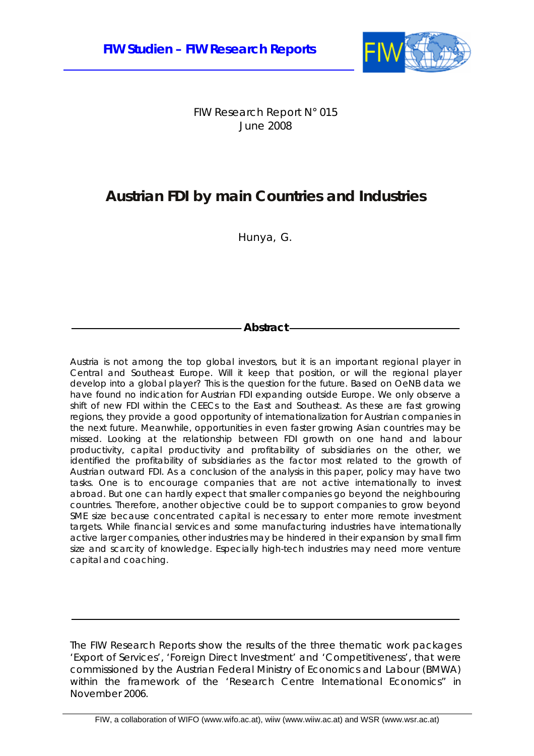

FIW Research Report N° 015 June 2008

# **Austrian FDI by main Countries and Industries**

Hunya, G.

# **Abstract**

Austria is not among the top global investors, but it is an important regional player in Central and Southeast Europe. Will it keep that position, or will the regional player develop into a global player? This is the question for the future. Based on OeNB data we have found no indication for Austrian FDI expanding outside Europe. We only observe a shift of new FDI within the CEECs to the East and Southeast. As these are fast growing regions, they provide a good opportunity of internationalization for Austrian companies in the next future. Meanwhile, opportunities in even faster growing Asian countries may be missed. Looking at the relationship between FDI growth on one hand and labour productivity, capital productivity and profitability of subsidiaries on the other, we identified the profitability of subsidiaries as the factor most related to the growth of Austrian outward FDI. As a conclusion of the analysis in this paper, policy may have two tasks. One is to encourage companies that are not active internationally to invest abroad. But one can hardly expect that smaller companies go beyond the neighbouring countries. Therefore, another objective could be to support companies to grow beyond SME size because concentrated capital is necessary to enter more remote investment targets. While financial services and some manufacturing industries have internationally active larger companies, other industries may be hindered in their expansion by small firm size and scarcity of knowledge. Especially high-tech industries may need more venture capital and coaching.

The FIW Research Reports show the results of the three thematic work packages 'Export of Services', 'Foreign Direct Investment' and 'Competitiveness', that were commissioned by the Austrian Federal Ministry of Economics and Labour (BMWA) within the framework of the 'Research Centre International Economics" in November 2006.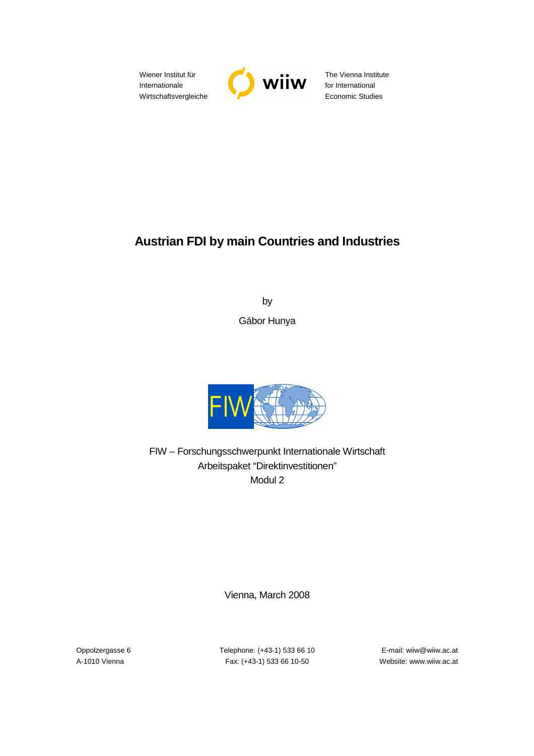Wiener Institut für Internationale Wirtschaftsvergleiche



The Vienna Institute for International Economic Studies

# **Austrian FDI by main Countries and Industries**

by Gábor Hunya



FIW – Forschungsschwerpunkt Internationale Wirtschaft Arbeitspaket "Direktinvestitionen" Modul 2

Vienna, March 2008

Oppolzergasse 6 Telephone: (+43-1) 533 66 10 E-mail: wiiw@wiiw.ac.at A-1010 Vienna Fax: (+43-1) 533 66 10-50 Website: www.wiiw.ac.at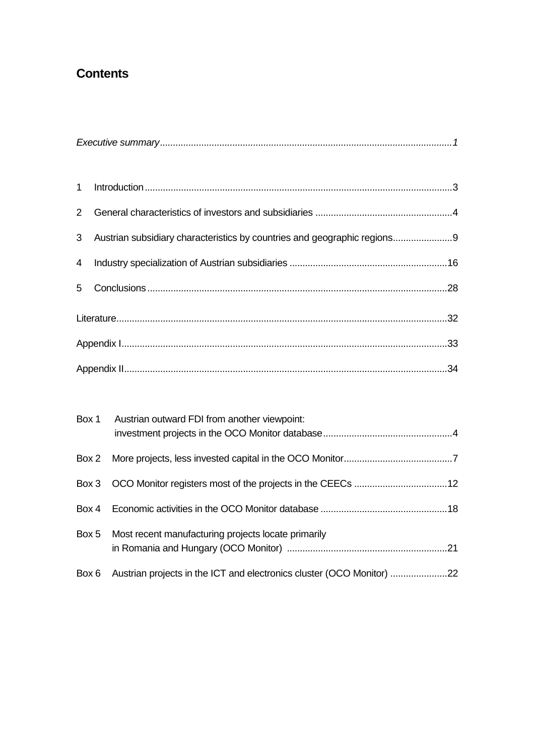# **Contents**

| 3 Austrian subsidiary characteristics by countries and geographic regions 9 |  |
|-----------------------------------------------------------------------------|--|
|                                                                             |  |
|                                                                             |  |
|                                                                             |  |
|                                                                             |  |
|                                                                             |  |

| Box 1 Austrian outward FDI from another viewpoint:                          |
|-----------------------------------------------------------------------------|
|                                                                             |
|                                                                             |
|                                                                             |
| Box 5 Most recent manufacturing projects locate primarily                   |
| Box 6 Austrian projects in the ICT and electronics cluster (OCO Monitor) 22 |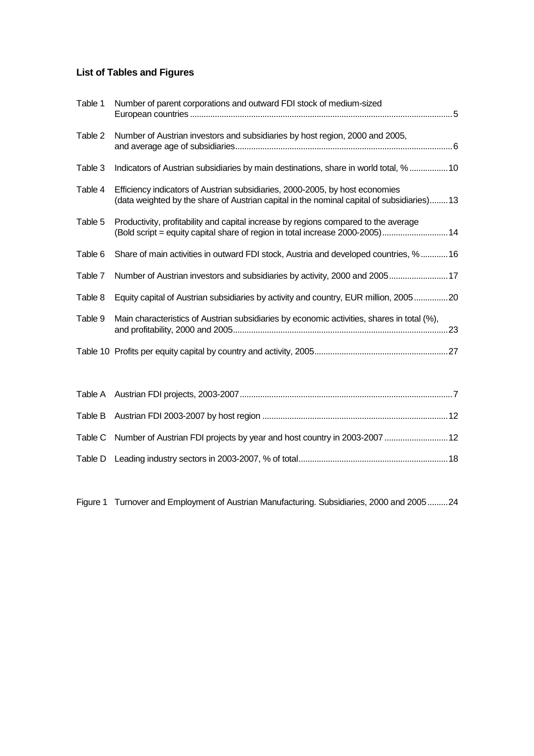# **List of Tables and Figures**

| Table 1 | Number of parent corporations and outward FDI stock of medium-sized                                                                                                       |
|---------|---------------------------------------------------------------------------------------------------------------------------------------------------------------------------|
| Table 2 | Number of Austrian investors and subsidiaries by host region, 2000 and 2005,                                                                                              |
| Table 3 | Indicators of Austrian subsidiaries by main destinations, share in world total, %10                                                                                       |
| Table 4 | Efficiency indicators of Austrian subsidiaries, 2000-2005, by host economies<br>(data weighted by the share of Austrian capital in the nominal capital of subsidiaries)13 |
| Table 5 | Productivity, profitability and capital increase by regions compared to the average<br>(Bold script = equity capital share of region in total increase 2000-2005) 14      |
| Table 6 | Share of main activities in outward FDI stock, Austria and developed countries, %  16                                                                                     |
| Table 7 | Number of Austrian investors and subsidiaries by activity, 2000 and 200517                                                                                                |
| Table 8 | Equity capital of Austrian subsidiaries by activity and country, EUR million, 200520                                                                                      |
| Table 9 | Main characteristics of Austrian subsidiaries by economic activities, shares in total (%),                                                                                |
|         |                                                                                                                                                                           |
|         |                                                                                                                                                                           |
|         |                                                                                                                                                                           |
|         |                                                                                                                                                                           |
|         | Table C Number of Austrian FDI projects by year and host country in 2003-2007  12                                                                                         |
|         |                                                                                                                                                                           |

Figure 1 Turnover and Employment of Austrian Manufacturing. Subsidiaries, 2000 and 2005.........24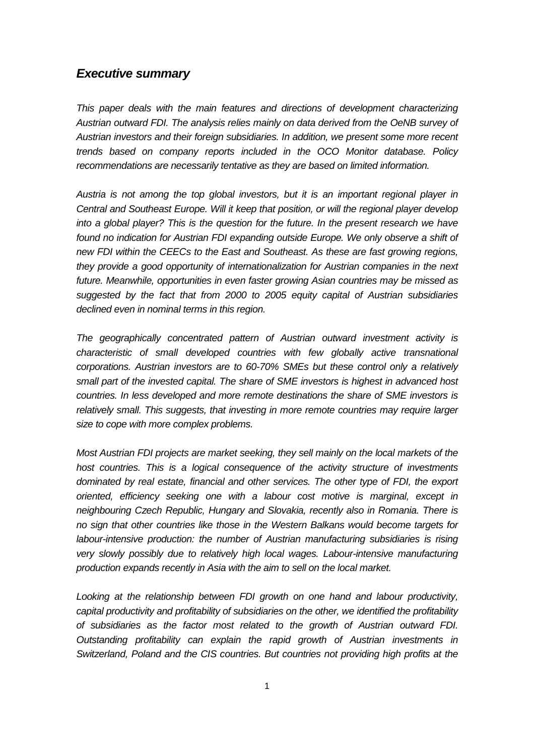## **Executive summary**

This paper deals with the main features and directions of development characterizing Austrian outward FDI. The analysis relies mainly on data derived from the OeNB survey of Austrian investors and their foreign subsidiaries. In addition, we present some more recent trends based on company reports included in the OCO Monitor database. Policy recommendations are necessarily tentative as they are based on limited information.

Austria is not among the top global investors, but it is an important regional player in Central and Southeast Europe. Will it keep that position, or will the regional player develop into a global player? This is the question for the future. In the present research we have found no indication for Austrian FDI expanding outside Europe. We only observe a shift of new FDI within the CEECs to the East and Southeast. As these are fast growing regions, they provide a good opportunity of internationalization for Austrian companies in the next future. Meanwhile, opportunities in even faster growing Asian countries may be missed as suggested by the fact that from 2000 to 2005 equity capital of Austrian subsidiaries declined even in nominal terms in this region.

The geographically concentrated pattern of Austrian outward investment activity is characteristic of small developed countries with few globally active transnational corporations. Austrian investors are to 60-70% SMEs but these control only a relatively small part of the invested capital. The share of SME investors is highest in advanced host countries. In less developed and more remote destinations the share of SME investors is relatively small. This suggests, that investing in more remote countries may require larger size to cope with more complex problems.

Most Austrian FDI projects are market seeking, they sell mainly on the local markets of the host countries. This is a logical consequence of the activity structure of investments dominated by real estate, financial and other services. The other type of FDI, the export oriented, efficiency seeking one with a labour cost motive is marginal, except in neighbouring Czech Republic, Hungary and Slovakia, recently also in Romania. There is no sign that other countries like those in the Western Balkans would become targets for labour-intensive production: the number of Austrian manufacturing subsidiaries is rising very slowly possibly due to relatively high local wages. Labour-intensive manufacturing production expands recently in Asia with the aim to sell on the local market.

Looking at the relationship between FDI growth on one hand and labour productivity, capital productivity and profitability of subsidiaries on the other, we identified the profitability of subsidiaries as the factor most related to the growth of Austrian outward FDI. Outstanding profitability can explain the rapid growth of Austrian investments in Switzerland, Poland and the CIS countries. But countries not providing high profits at the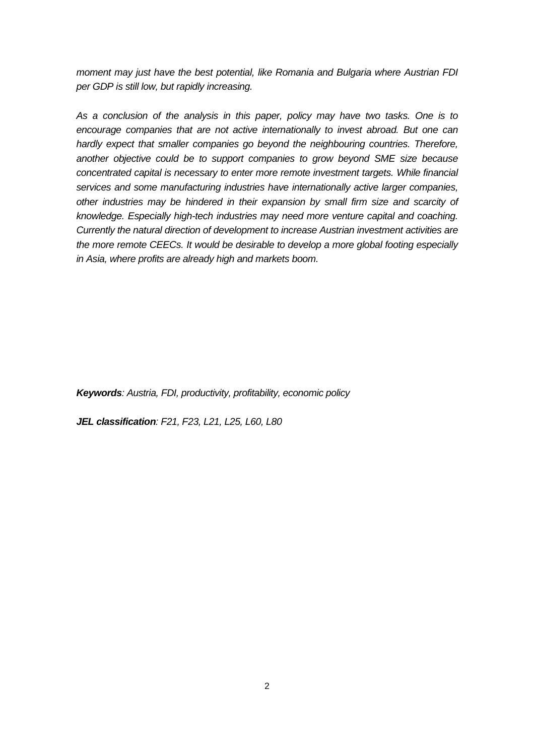moment may just have the best potential, like Romania and Bulgaria where Austrian FDI per GDP is still low, but rapidly increasing.

As a conclusion of the analysis in this paper, policy may have two tasks. One is to encourage companies that are not active internationally to invest abroad. But one can hardly expect that smaller companies go beyond the neighbouring countries. Therefore, another objective could be to support companies to grow beyond SME size because concentrated capital is necessary to enter more remote investment targets. While financial services and some manufacturing industries have internationally active larger companies, other industries may be hindered in their expansion by small firm size and scarcity of knowledge. Especially high-tech industries may need more venture capital and coaching. Currently the natural direction of development to increase Austrian investment activities are the more remote CEECs. It would be desirable to develop a more global footing especially in Asia, where profits are already high and markets boom.

**Keywords**: Austria, FDI, productivity, profitability, economic policy

**JEL classification**: F21, F23, L21, L25, L60, L80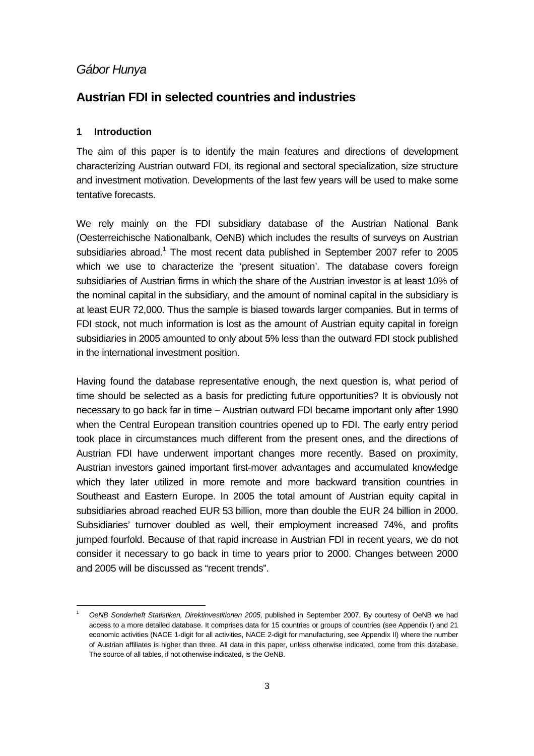# Gábor Hunya

# **Austrian FDI in selected countries and industries**

### **1 Introduction**

l

The aim of this paper is to identify the main features and directions of development characterizing Austrian outward FDI, its regional and sectoral specialization, size structure and investment motivation. Developments of the last few years will be used to make some tentative forecasts.

We rely mainly on the FDI subsidiary database of the Austrian National Bank (Oesterreichische Nationalbank, OeNB) which includes the results of surveys on Austrian subsidiaries abroad.<sup>1</sup> The most recent data published in September 2007 refer to 2005 which we use to characterize the 'present situation'. The database covers foreign subsidiaries of Austrian firms in which the share of the Austrian investor is at least 10% of the nominal capital in the subsidiary, and the amount of nominal capital in the subsidiary is at least EUR 72,000. Thus the sample is biased towards larger companies. But in terms of FDI stock, not much information is lost as the amount of Austrian equity capital in foreign subsidiaries in 2005 amounted to only about 5% less than the outward FDI stock published in the international investment position.

Having found the database representative enough, the next question is, what period of time should be selected as a basis for predicting future opportunities? It is obviously not necessary to go back far in time – Austrian outward FDI became important only after 1990 when the Central European transition countries opened up to FDI. The early entry period took place in circumstances much different from the present ones, and the directions of Austrian FDI have underwent important changes more recently. Based on proximity, Austrian investors gained important first-mover advantages and accumulated knowledge which they later utilized in more remote and more backward transition countries in Southeast and Eastern Europe. In 2005 the total amount of Austrian equity capital in subsidiaries abroad reached EUR 53 billion, more than double the EUR 24 billion in 2000. Subsidiaries' turnover doubled as well, their employment increased 74%, and profits jumped fourfold. Because of that rapid increase in Austrian FDI in recent years, we do not consider it necessary to go back in time to years prior to 2000. Changes between 2000 and 2005 will be discussed as "recent trends".

<sup>1</sup> OeNB Sonderheft Statistiken, Direktinvestitionen 2005, published in September 2007. By courtesy of OeNB we had access to a more detailed database. It comprises data for 15 countries or groups of countries (see Appendix I) and 21 economic activities (NACE 1-digit for all activities, NACE 2-digit for manufacturing, see Appendix II) where the number of Austrian affiliates is higher than three. All data in this paper, unless otherwise indicated, come from this database. The source of all tables, if not otherwise indicated, is the OeNB.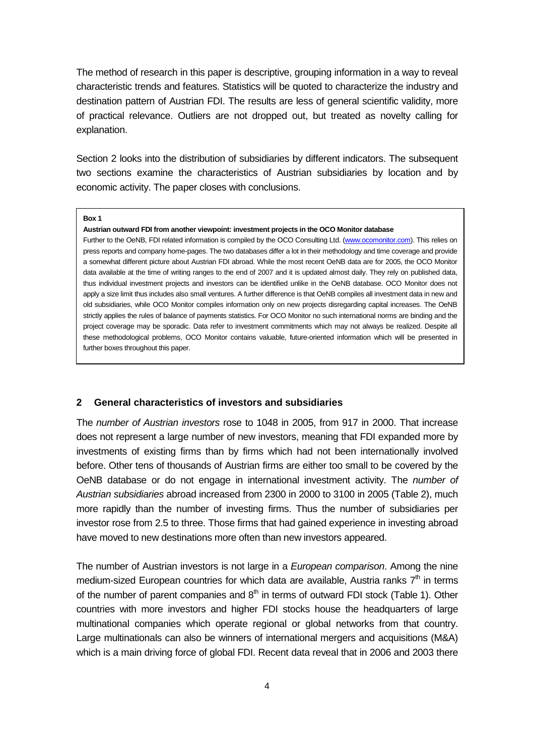The method of research in this paper is descriptive, grouping information in a way to reveal characteristic trends and features. Statistics will be quoted to characterize the industry and destination pattern of Austrian FDI. The results are less of general scientific validity, more of practical relevance. Outliers are not dropped out, but treated as novelty calling for explanation.

Section 2 looks into the distribution of subsidiaries by different indicators. The subsequent two sections examine the characteristics of Austrian subsidiaries by location and by economic activity. The paper closes with conclusions.

#### **Box 1**

#### **Austrian outward FDI from another viewpoint: investment projects in the OCO Monitor database**

Further to the OeNB, FDI related information is compiled by the OCO Consulting Ltd. (www.ocomonitor.com). This relies on press reports and company home-pages. The two databases differ a lot in their methodology and time coverage and provide a somewhat different picture about Austrian FDI abroad. While the most recent OeNB data are for 2005, the OCO Monitor data available at the time of writing ranges to the end of 2007 and it is updated almost daily. They rely on published data, thus individual investment projects and investors can be identified unlike in the OeNB database. OCO Monitor does not apply a size limit thus includes also small ventures. A further difference is that OeNB compiles all investment data in new and old subsidiaries, while OCO Monitor compiles information only on new projects disregarding capital increases. The OeNB strictly applies the rules of balance of payments statistics. For OCO Monitor no such international norms are binding and the project coverage may be sporadic. Data refer to investment commitments which may not always be realized. Despite all these methodological problems, OCO Monitor contains valuable, future-oriented information which will be presented in further boxes throughout this paper.

### **2 General characteristics of investors and subsidiaries**

The number of Austrian investors rose to 1048 in 2005, from 917 in 2000. That increase does not represent a large number of new investors, meaning that FDI expanded more by investments of existing firms than by firms which had not been internationally involved before. Other tens of thousands of Austrian firms are either too small to be covered by the OeNB database or do not engage in international investment activity. The number of Austrian subsidiaries abroad increased from 2300 in 2000 to 3100 in 2005 (Table 2), much more rapidly than the number of investing firms. Thus the number of subsidiaries per investor rose from 2.5 to three. Those firms that had gained experience in investing abroad have moved to new destinations more often than new investors appeared.

The number of Austrian investors is not large in a *European comparison*. Among the nine medium-sized European countries for which data are available, Austria ranks  $7<sup>th</sup>$  in terms of the number of parent companies and  $8<sup>th</sup>$  in terms of outward FDI stock (Table 1). Other countries with more investors and higher FDI stocks house the headquarters of large multinational companies which operate regional or global networks from that country. Large multinationals can also be winners of international mergers and acquisitions (M&A) which is a main driving force of global FDI. Recent data reveal that in 2006 and 2003 there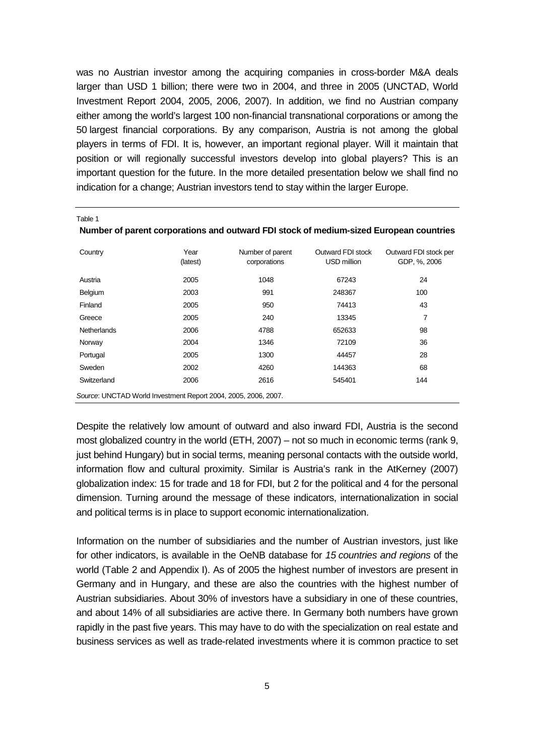was no Austrian investor among the acquiring companies in cross-border M&A deals larger than USD 1 billion; there were two in 2004, and three in 2005 (UNCTAD, World Investment Report 2004, 2005, 2006, 2007). In addition, we find no Austrian company either among the world's largest 100 non-financial transnational corporations or among the 50 largest financial corporations. By any comparison, Austria is not among the global players in terms of FDI. It is, however, an important regional player. Will it maintain that position or will regionally successful investors develop into global players? This is an important question for the future. In the more detailed presentation below we shall find no indication for a change; Austrian investors tend to stay within the larger Europe.

| Country                                                        | Year<br>(latest) | Number of parent<br>corporations | Outward FDI stock<br>USD million | Outward FDI stock per<br>GDP, %, 2006 |  |  |  |
|----------------------------------------------------------------|------------------|----------------------------------|----------------------------------|---------------------------------------|--|--|--|
| Austria                                                        | 2005             | 1048                             | 67243                            | 24                                    |  |  |  |
| Belgium                                                        | 2003             | 991                              | 248367                           | 100                                   |  |  |  |
| Finland                                                        | 2005             | 950                              | 74413                            | 43                                    |  |  |  |
| Greece                                                         | 2005             | 240                              | 13345                            | 7                                     |  |  |  |
| <b>Netherlands</b>                                             | 2006             | 4788                             | 652633                           | 98                                    |  |  |  |
| Norway                                                         | 2004             | 1346                             | 72109                            | 36                                    |  |  |  |
| Portugal                                                       | 2005             | 1300                             | 44457                            | 28                                    |  |  |  |
| Sweden                                                         | 2002             | 4260                             | 144363                           | 68                                    |  |  |  |
| Switzerland                                                    | 2006             | 2616                             | 545401                           | 144                                   |  |  |  |
| Source: UNCTAD World Investment Report 2004, 2005, 2006, 2007. |                  |                                  |                                  |                                       |  |  |  |

**Number of parent corporations and outward FDI stock of medium-sized European countries** 

Table 1

Despite the relatively low amount of outward and also inward FDI, Austria is the second most globalized country in the world (ETH, 2007) – not so much in economic terms (rank 9, just behind Hungary) but in social terms, meaning personal contacts with the outside world, information flow and cultural proximity. Similar is Austria's rank in the AtKerney (2007) globalization index: 15 for trade and 18 for FDI, but 2 for the political and 4 for the personal dimension. Turning around the message of these indicators, internationalization in social and political terms is in place to support economic internationalization.

Information on the number of subsidiaries and the number of Austrian investors, just like for other indicators, is available in the OeNB database for 15 countries and regions of the world (Table 2 and Appendix I). As of 2005 the highest number of investors are present in Germany and in Hungary, and these are also the countries with the highest number of Austrian subsidiaries. About 30% of investors have a subsidiary in one of these countries, and about 14% of all subsidiaries are active there. In Germany both numbers have grown rapidly in the past five years. This may have to do with the specialization on real estate and business services as well as trade-related investments where it is common practice to set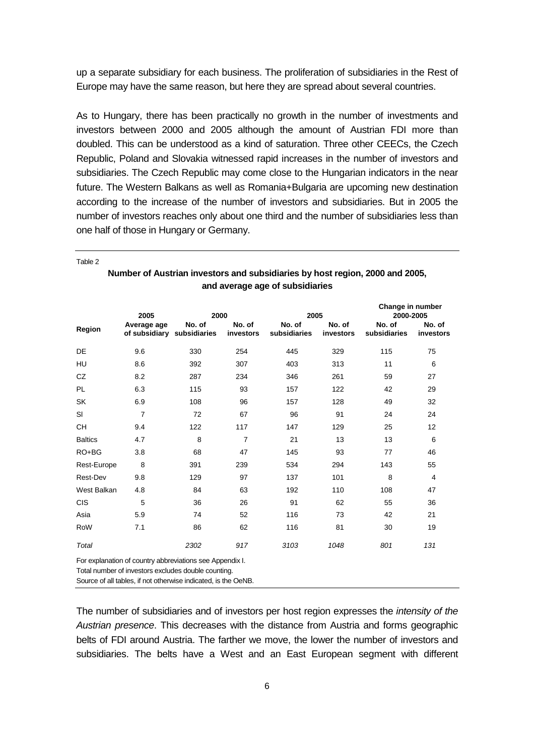up a separate subsidiary for each business. The proliferation of subsidiaries in the Rest of Europe may have the same reason, but here they are spread about several countries.

As to Hungary, there has been practically no growth in the number of investments and investors between 2000 and 2005 although the amount of Austrian FDI more than doubled. This can be understood as a kind of saturation. Three other CEECs, the Czech Republic, Poland and Slovakia witnessed rapid increases in the number of investors and subsidiaries. The Czech Republic may come close to the Hungarian indicators in the near future. The Western Balkans as well as Romania+Bulgaria are upcoming new destination according to the increase of the number of investors and subsidiaries. But in 2005 the number of investors reaches only about one third and the number of subsidiaries less than one half of those in Hungary or Germany.

|                                                                                                                 | 2005                                      | 2000   |                     | 2005                   |                     | Change in number<br>2000-2005 |                     |  |
|-----------------------------------------------------------------------------------------------------------------|-------------------------------------------|--------|---------------------|------------------------|---------------------|-------------------------------|---------------------|--|
| Region                                                                                                          | Average age<br>of subsidiary subsidiaries | No. of | No. of<br>investors | No. of<br>subsidiaries | No. of<br>investors | No. of<br>subsidiaries        | No. of<br>investors |  |
| DE                                                                                                              | 9.6                                       | 330    | 254                 | 445                    | 329                 | 115                           | 75                  |  |
| HU                                                                                                              | 8.6                                       | 392    | 307                 | 403                    | 313                 | 11                            | 6                   |  |
| CZ                                                                                                              | 8.2                                       | 287    | 234                 | 346                    | 261                 | 59                            | 27                  |  |
| <b>PL</b>                                                                                                       | 6.3                                       | 115    | 93                  | 157                    | 122                 | 42                            | 29                  |  |
| SK                                                                                                              | 6.9                                       | 108    | 96                  | 157                    | 128                 | 49                            | 32                  |  |
| SI                                                                                                              | $\overline{7}$                            | 72     | 67                  | 96                     | 91                  | 24                            | 24                  |  |
| <b>CH</b>                                                                                                       | 9.4                                       | 122    | 117                 | 147                    | 129                 | 25                            | 12                  |  |
| <b>Baltics</b>                                                                                                  | 4.7                                       | 8      | $\overline{7}$      | 21                     | 13                  | 13                            | 6                   |  |
| $RO+BG$                                                                                                         | 3.8                                       | 68     | 47                  | 145                    | 93                  | 77                            | 46                  |  |
| Rest-Europe                                                                                                     | 8                                         | 391    | 239                 | 534                    | 294                 | 143                           | 55                  |  |
| Rest-Dev                                                                                                        | 9.8                                       | 129    | 97                  | 137                    | 101                 | 8                             | $\overline{4}$      |  |
| West Balkan                                                                                                     | 4.8                                       | 84     | 63                  | 192                    | 110                 | 108                           | 47                  |  |
| <b>CIS</b>                                                                                                      | 5                                         | 36     | 26                  | 91                     | 62                  | 55                            | 36                  |  |
| Asia                                                                                                            | 5.9                                       | 74     | 52                  | 116                    | 73                  | 42                            | 21                  |  |
| RoW                                                                                                             | 7.1                                       | 86     | 62                  | 116                    | 81                  | 30                            | 19                  |  |
| Total                                                                                                           |                                           | 2302   | 917                 | 3103                   | 1048                | 801                           | 131                 |  |
| For explanation of country abbreviations see Appendix I.<br>Total number of investors excludes double counting. |                                           |        |                     |                        |                     |                               |                     |  |

Table 2

**Number of Austrian investors and subsidiaries by host region, 2000 and 2005, and average age of subsidiaries** 

Source of all tables, if not otherwise indicated, is the OeNB.

The number of subsidiaries and of investors per host region expresses the intensity of the Austrian presence. This decreases with the distance from Austria and forms geographic belts of FDI around Austria. The farther we move, the lower the number of investors and subsidiaries. The belts have a West and an East European segment with different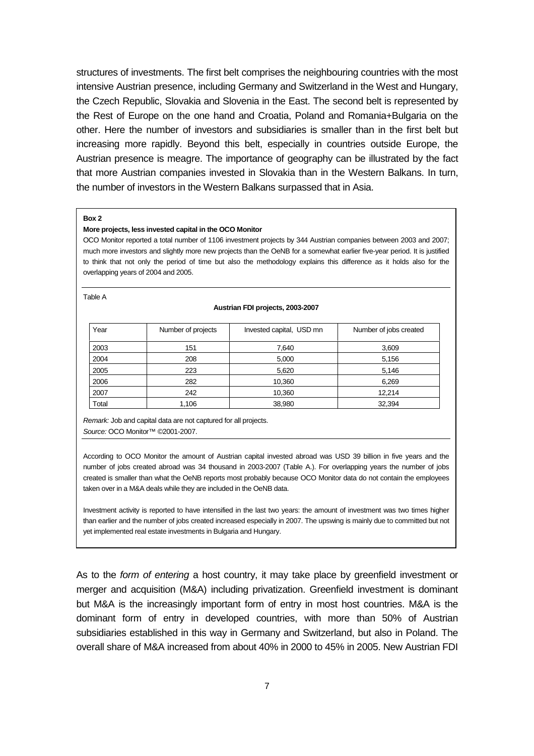structures of investments. The first belt comprises the neighbouring countries with the most intensive Austrian presence, including Germany and Switzerland in the West and Hungary, the Czech Republic, Slovakia and Slovenia in the East. The second belt is represented by the Rest of Europe on the one hand and Croatia, Poland and Romania+Bulgaria on the other. Here the number of investors and subsidiaries is smaller than in the first belt but increasing more rapidly. Beyond this belt, especially in countries outside Europe, the Austrian presence is meagre. The importance of geography can be illustrated by the fact that more Austrian companies invested in Slovakia than in the Western Balkans. In turn, the number of investors in the Western Balkans surpassed that in Asia.

#### **Box 2**

#### **More projects, less invested capital in the OCO Monitor**

OCO Monitor reported a total number of 1106 investment projects by 344 Austrian companies between 2003 and 2007; much more investors and slightly more new projects than the OeNB for a somewhat earlier five-year period. It is justified to think that not only the period of time but also the methodology explains this difference as it holds also for the overlapping years of 2004 and 2005.

#### Table A

#### **Austrian FDI projects, 2003-2007**

| Year  | Number of projects | Invested capital, USD mn | Number of jobs created |
|-------|--------------------|--------------------------|------------------------|
| 2003  | 151                | 7,640                    | 3,609                  |
| 2004  | 208                | 5,000                    | 5,156                  |
| 2005  | 223                | 5,620                    | 5,146                  |
| 2006  | 282                | 10,360                   | 6,269                  |
| 2007  | 242                | 10,360                   | 12,214                 |
| Total | 1,106              | 38,980                   | 32,394                 |

Remark: Job and capital data are not captured for all projects. Source: OCO Monitor™ ©2001-2007.

According to OCO Monitor the amount of Austrian capital invested abroad was USD 39 billion in five years and the number of jobs created abroad was 34 thousand in 2003-2007 (Table A.). For overlapping years the number of jobs created is smaller than what the OeNB reports most probably because OCO Monitor data do not contain the employees taken over in a M&A deals while they are included in the OeNB data.

Investment activity is reported to have intensified in the last two years: the amount of investment was two times higher than earlier and the number of jobs created increased especially in 2007. The upswing is mainly due to committed but not yet implemented real estate investments in Bulgaria and Hungary.

As to the form of entering a host country, it may take place by greenfield investment or merger and acquisition (M&A) including privatization. Greenfield investment is dominant but M&A is the increasingly important form of entry in most host countries. M&A is the dominant form of entry in developed countries, with more than 50% of Austrian subsidiaries established in this way in Germany and Switzerland, but also in Poland. The overall share of M&A increased from about 40% in 2000 to 45% in 2005. New Austrian FDI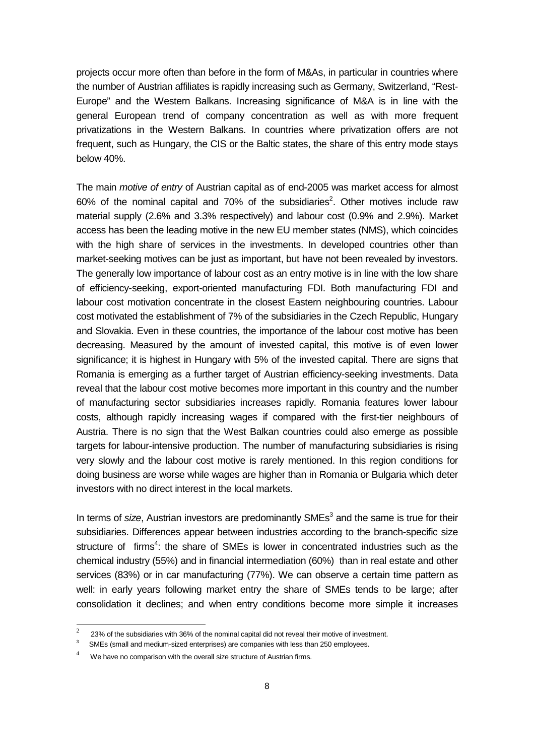projects occur more often than before in the form of M&As, in particular in countries where the number of Austrian affiliates is rapidly increasing such as Germany, Switzerland, "Rest-Europe" and the Western Balkans. Increasing significance of M&A is in line with the general European trend of company concentration as well as with more frequent privatizations in the Western Balkans. In countries where privatization offers are not frequent, such as Hungary, the CIS or the Baltic states, the share of this entry mode stays below 40%.

The main *motive of entry* of Austrian capital as of end-2005 was market access for almost 60% of the nominal capital and 70% of the subsidiaries<sup>2</sup>. Other motives include raw material supply (2.6% and 3.3% respectively) and labour cost (0.9% and 2.9%). Market access has been the leading motive in the new EU member states (NMS), which coincides with the high share of services in the investments. In developed countries other than market-seeking motives can be just as important, but have not been revealed by investors. The generally low importance of labour cost as an entry motive is in line with the low share of efficiency-seeking, export-oriented manufacturing FDI. Both manufacturing FDI and labour cost motivation concentrate in the closest Eastern neighbouring countries. Labour cost motivated the establishment of 7% of the subsidiaries in the Czech Republic, Hungary and Slovakia. Even in these countries, the importance of the labour cost motive has been decreasing. Measured by the amount of invested capital, this motive is of even lower significance; it is highest in Hungary with 5% of the invested capital. There are signs that Romania is emerging as a further target of Austrian efficiency-seeking investments. Data reveal that the labour cost motive becomes more important in this country and the number of manufacturing sector subsidiaries increases rapidly. Romania features lower labour costs, although rapidly increasing wages if compared with the first-tier neighbours of Austria. There is no sign that the West Balkan countries could also emerge as possible targets for labour-intensive production. The number of manufacturing subsidiaries is rising very slowly and the labour cost motive is rarely mentioned. In this region conditions for doing business are worse while wages are higher than in Romania or Bulgaria which deter investors with no direct interest in the local markets.

In terms of size, Austrian investors are predominantly  $SMEs<sup>3</sup>$  and the same is true for their subsidiaries. Differences appear between industries according to the branch-specific size structure of firms<sup>4</sup>: the share of SMEs is lower in concentrated industries such as the chemical industry (55%) and in financial intermediation (60%) than in real estate and other services (83%) or in car manufacturing (77%). We can observe a certain time pattern as well: in early years following market entry the share of SMEs tends to be large; after consolidation it declines; and when entry conditions become more simple it increases

l

 $\mathcal{L}$ 23% of the subsidiaries with 36% of the nominal capital did not reveal their motive of investment.

<sup>3</sup> SMEs (small and medium-sized enterprises) are companies with less than 250 employees.

<sup>4</sup> We have no comparison with the overall size structure of Austrian firms.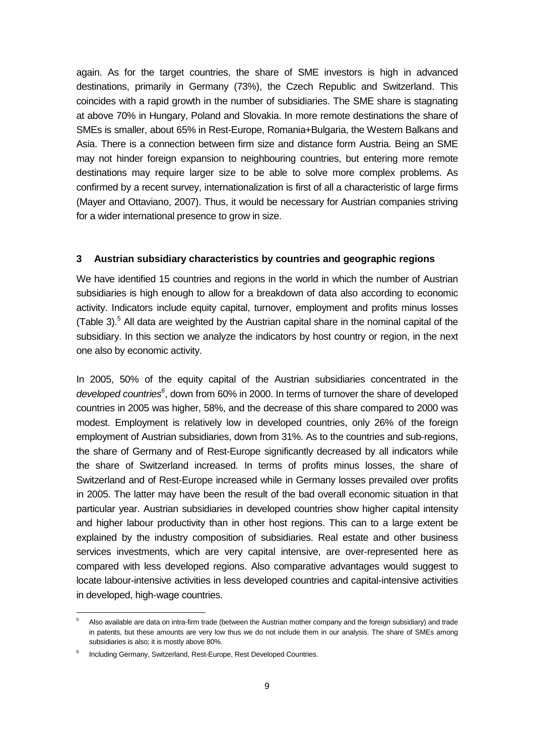again. As for the target countries, the share of SME investors is high in advanced destinations, primarily in Germany (73%), the Czech Republic and Switzerland. This coincides with a rapid growth in the number of subsidiaries. The SME share is stagnating at above 70% in Hungary, Poland and Slovakia. In more remote destinations the share of SMEs is smaller, about 65% in Rest-Europe, Romania+Bulgaria, the Western Balkans and Asia. There is a connection between firm size and distance form Austria. Being an SME may not hinder foreign expansion to neighbouring countries, but entering more remote destinations may require larger size to be able to solve more complex problems. As confirmed by a recent survey, internationalization is first of all a characteristic of large firms (Mayer and Ottaviano, 2007). Thus, it would be necessary for Austrian companies striving for a wider international presence to grow in size.

## **3 Austrian subsidiary characteristics by countries and geographic regions**

We have identified 15 countries and regions in the world in which the number of Austrian subsidiaries is high enough to allow for a breakdown of data also according to economic activity. Indicators include equity capital, turnover, employment and profits minus losses (Table 3). $<sup>5</sup>$  All data are weighted by the Austrian capital share in the nominal capital of the</sup> subsidiary. In this section we analyze the indicators by host country or region, in the next one also by economic activity.

In 2005, 50% of the equity capital of the Austrian subsidiaries concentrated in the developed countries<sup>6</sup>, down from 60% in 2000. In terms of turnover the share of developed countries in 2005 was higher, 58%, and the decrease of this share compared to 2000 was modest. Employment is relatively low in developed countries, only 26% of the foreign employment of Austrian subsidiaries, down from 31%. As to the countries and sub-regions, the share of Germany and of Rest-Europe significantly decreased by all indicators while the share of Switzerland increased. In terms of profits minus losses, the share of Switzerland and of Rest-Europe increased while in Germany losses prevailed over profits in 2005. The latter may have been the result of the bad overall economic situation in that particular year. Austrian subsidiaries in developed countries show higher capital intensity and higher labour productivity than in other host regions. This can to a large extent be explained by the industry composition of subsidiaries. Real estate and other business services investments, which are very capital intensive, are over-represented here as compared with less developed regions. Also comparative advantages would suggest to locate labour-intensive activities in less developed countries and capital-intensive activities in developed, high-wage countries.

-

<sup>5</sup> Also available are data on intra-firm trade (between the Austrian mother company and the foreign subsidiary) and trade in patents, but these amounts are very low thus we do not include them in our analysis. The share of SMEs among subsidiaries is also; it is mostly above 80%.

<sup>6</sup> Including Germany, Switzerland, Rest-Europe, Rest Developed Countries.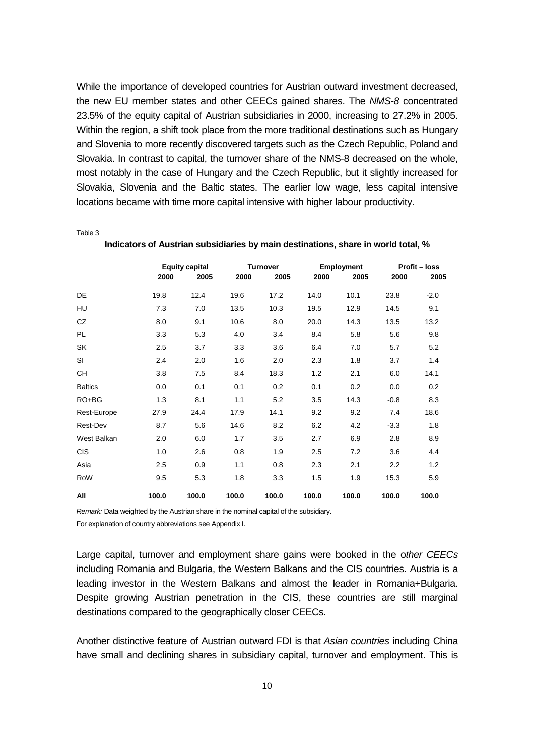While the importance of developed countries for Austrian outward investment decreased, the new EU member states and other CEECs gained shares. The NMS-8 concentrated 23.5% of the equity capital of Austrian subsidiaries in 2000, increasing to 27.2% in 2005. Within the region, a shift took place from the more traditional destinations such as Hungary and Slovenia to more recently discovered targets such as the Czech Republic, Poland and Slovakia. In contrast to capital, the turnover share of the NMS-8 decreased on the whole, most notably in the case of Hungary and the Czech Republic, but it slightly increased for Slovakia, Slovenia and the Baltic states. The earlier low wage, less capital intensive locations became with time more capital intensive with higher labour productivity.

|                | indicators of Austrian subsidiaries by main destinations, share in world total, % |                       |       |                 |       |            |        |                      |  |
|----------------|-----------------------------------------------------------------------------------|-----------------------|-------|-----------------|-------|------------|--------|----------------------|--|
|                |                                                                                   | <b>Equity capital</b> |       | <b>Turnover</b> |       | Employment |        | <b>Profit - loss</b> |  |
|                | 2000                                                                              | 2005                  | 2000  | 2005            | 2000  | 2005       | 2000   | 2005                 |  |
| DE             | 19.8                                                                              | 12.4                  | 19.6  | 17.2            | 14.0  | 10.1       | 23.8   | $-2.0$               |  |
| HU             | 7.3                                                                               | 7.0                   | 13.5  | 10.3            | 19.5  | 12.9       | 14.5   | 9.1                  |  |
| CZ             | 8.0                                                                               | 9.1                   | 10.6  | 8.0             | 20.0  | 14.3       | 13.5   | 13.2                 |  |
| PL             | 3.3                                                                               | 5.3                   | 4.0   | 3.4             | 8.4   | 5.8        | 5.6    | 9.8                  |  |
| SK             | 2.5                                                                               | 3.7                   | 3.3   | 3.6             | 6.4   | 7.0        | 5.7    | 5.2                  |  |
| SI             | 2.4                                                                               | 2.0                   | 1.6   | 2.0             | 2.3   | 1.8        | 3.7    | 1.4                  |  |
| CН             | 3.8                                                                               | 7.5                   | 8.4   | 18.3            | 1.2   | 2.1        | 6.0    | 14.1                 |  |
| <b>Baltics</b> | 0.0                                                                               | 0.1                   | 0.1   | 0.2             | 0.1   | 0.2        | 0.0    | 0.2                  |  |
| $RO+BG$        | 1.3                                                                               | 8.1                   | 1.1   | 5.2             | 3.5   | 14.3       | $-0.8$ | 8.3                  |  |
| Rest-Europe    | 27.9                                                                              | 24.4                  | 17.9  | 14.1            | 9.2   | 9.2        | 7.4    | 18.6                 |  |
| Rest-Dev       | 8.7                                                                               | 5.6                   | 14.6  | 8.2             | 6.2   | 4.2        | $-3.3$ | 1.8                  |  |
| West Balkan    | 2.0                                                                               | 6.0                   | 1.7   | 3.5             | 2.7   | 6.9        | 2.8    | 8.9                  |  |
| <b>CIS</b>     | 1.0                                                                               | 2.6                   | 0.8   | 1.9             | 2.5   | 7.2        | 3.6    | 4.4                  |  |
| Asia           | 2.5                                                                               | 0.9                   | 1.1   | 0.8             | 2.3   | 2.1        | 2.2    | 1.2                  |  |
| RoW            | 9.5                                                                               | 5.3                   | 1.8   | 3.3             | 1.5   | 1.9        | 15.3   | 5.9                  |  |
| All            | 100.0                                                                             | 100.0                 | 100.0 | 100.0           | 100.0 | 100.0      | 100.0  | 100.0                |  |

**Indicators of Austrian subsidiaries by main destinations, share in world total, %** 

Remark: Data weighted by the Austrian share in the nominal capital of the subsidiary.

For explanation of country abbreviations see Appendix I.

Table 3

Large capital, turnover and employment share gains were booked in the other CEECs including Romania and Bulgaria, the Western Balkans and the CIS countries. Austria is a leading investor in the Western Balkans and almost the leader in Romania+Bulgaria. Despite growing Austrian penetration in the CIS, these countries are still marginal destinations compared to the geographically closer CEECs.

Another distinctive feature of Austrian outward FDI is that Asian countries including China have small and declining shares in subsidiary capital, turnover and employment. This is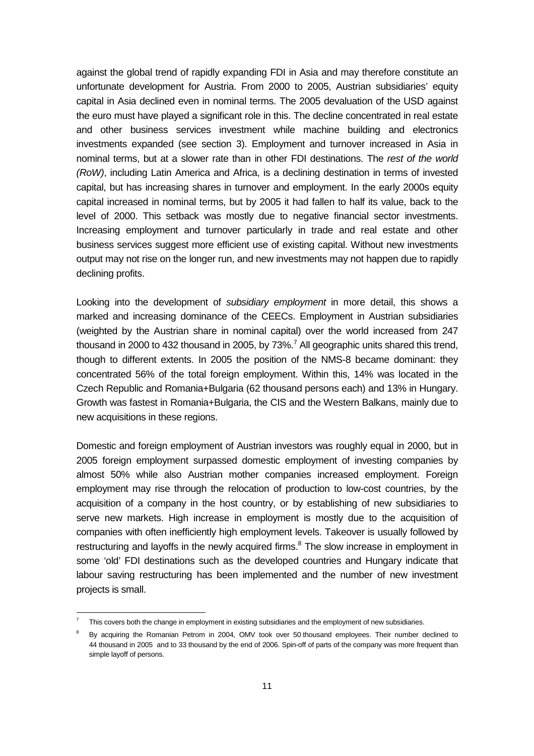against the global trend of rapidly expanding FDI in Asia and may therefore constitute an unfortunate development for Austria. From 2000 to 2005, Austrian subsidiaries' equity capital in Asia declined even in nominal terms. The 2005 devaluation of the USD against the euro must have played a significant role in this. The decline concentrated in real estate and other business services investment while machine building and electronics investments expanded (see section 3). Employment and turnover increased in Asia in nominal terms, but at a slower rate than in other FDI destinations. The rest of the world (RoW), including Latin America and Africa, is a declining destination in terms of invested capital, but has increasing shares in turnover and employment. In the early 2000s equity capital increased in nominal terms, but by 2005 it had fallen to half its value, back to the level of 2000. This setback was mostly due to negative financial sector investments. Increasing employment and turnover particularly in trade and real estate and other business services suggest more efficient use of existing capital. Without new investments output may not rise on the longer run, and new investments may not happen due to rapidly declining profits.

Looking into the development of subsidiary employment in more detail, this shows a marked and increasing dominance of the CEECs. Employment in Austrian subsidiaries (weighted by the Austrian share in nominal capital) over the world increased from 247 thousand in 2000 to 432 thousand in 2005, by 73%.<sup>7</sup> All geographic units shared this trend, though to different extents. In 2005 the position of the NMS-8 became dominant: they concentrated 56% of the total foreign employment. Within this, 14% was located in the Czech Republic and Romania+Bulgaria (62 thousand persons each) and 13% in Hungary. Growth was fastest in Romania+Bulgaria, the CIS and the Western Balkans, mainly due to new acquisitions in these regions.

Domestic and foreign employment of Austrian investors was roughly equal in 2000, but in 2005 foreign employment surpassed domestic employment of investing companies by almost 50% while also Austrian mother companies increased employment. Foreign employment may rise through the relocation of production to low-cost countries, by the acquisition of a company in the host country, or by establishing of new subsidiaries to serve new markets. High increase in employment is mostly due to the acquisition of companies with often inefficiently high employment levels. Takeover is usually followed by restructuring and layoffs in the newly acquired firms. $8$  The slow increase in employment in some 'old' FDI destinations such as the developed countries and Hungary indicate that labour saving restructuring has been implemented and the number of new investment projects is small.

-

<sup>7</sup> This covers both the change in employment in existing subsidiaries and the employment of new subsidiaries.

<sup>8</sup> By acquiring the Romanian Petrom in 2004, OMV took over 50 thousand employees. Their number declined to 44 thousand in 2005 and to 33 thousand by the end of 2006. Spin-off of parts of the company was more frequent than simple layoff of persons.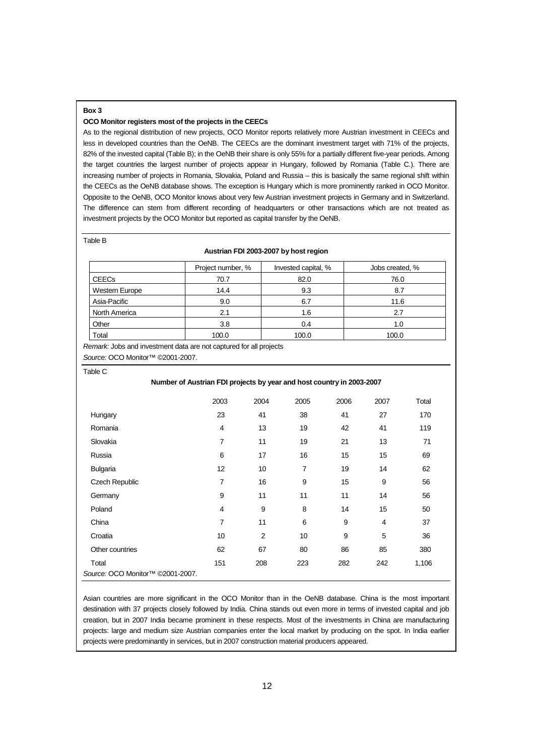#### **Box 3**

#### **OCO Monitor registers most of the projects in the CEECs**

As to the regional distribution of new projects, OCO Monitor reports relatively more Austrian investment in CEECs and less in developed countries than the OeNB. The CEECs are the dominant investment target with 71% of the projects, 82% of the invested capital (Table B); in the OeNB their share is only 55% for a partially different five-year periods. Among the target countries the largest number of projects appear in Hungary, followed by Romania (Table C.). There are increasing number of projects in Romania, Slovakia, Poland and Russia – this is basically the same regional shift within the CEECs as the OeNB database shows. The exception is Hungary which is more prominently ranked in OCO Monitor. Opposite to the OeNB, OCO Monitor knows about very few Austrian investment projects in Germany and in Switzerland. The difference can stem from different recording of headquarters or other transactions which are not treated as investment projects by the OCO Monitor but reported as capital transfer by the OeNB.

#### Table B

#### **Austrian FDI 2003-2007 by host region**

|                | Project number, % | Invested capital, % | Jobs created, % |
|----------------|-------------------|---------------------|-----------------|
| <b>CEECs</b>   | 70.7              | 82.0                | 76.0            |
| Western Europe | 14.4              | 9.3                 | 8.7             |
| Asia-Pacific   | 9.0               | 6.7                 | 11.6            |
| North America  | 2.1               | 1.6                 | 2.7             |
| Other          | 3.8               | 0.4                 | 1.0             |
| Total          | 100.0             | 100.0               | 100.0           |

Remark: Jobs and investment data are not captured for all projects Source: OCO Monitor™ ©2001-2007.

Table C

#### **Number of Austrian FDI projects by year and host country in 2003-2007**

|                                              | 2003           | 2004           | 2005           | 2006 | 2007 | Total |  |
|----------------------------------------------|----------------|----------------|----------------|------|------|-------|--|
| Hungary                                      | 23             | 41             | 38             | 41   | 27   | 170   |  |
| Romania                                      | 4              | 13             | 19             | 42   | 41   | 119   |  |
| Slovakia                                     | $\overline{7}$ | 11             | 19             | 21   | 13   | 71    |  |
| Russia                                       | 6              | 17             | 16             | 15   | 15   | 69    |  |
| <b>Bulgaria</b>                              | 12             | 10             | $\overline{7}$ | 19   | 14   | 62    |  |
| Czech Republic                               | 7              | 16             | 9              | 15   | 9    | 56    |  |
| Germany                                      | 9              | 11             | 11             | 11   | 14   | 56    |  |
| Poland                                       | 4              | 9              | 8              | 14   | 15   | 50    |  |
| China                                        | 7              | 11             | 6              | 9    | 4    | 37    |  |
| Croatia                                      | 10             | $\overline{2}$ | 10             | 9    | 5    | 36    |  |
| Other countries                              | 62             | 67             | 80             | 86   | 85   | 380   |  |
| Total                                        | 151            | 208            | 223            | 282  | 242  | 1,106 |  |
| Source: OCO Monitor <sup>™</sup> ©2001-2007. |                |                |                |      |      |       |  |

Asian countries are more significant in the OCO Monitor than in the OeNB database. China is the most important destination with 37 projects closely followed by India. China stands out even more in terms of invested capital and job creation, but in 2007 India became prominent in these respects. Most of the investments in China are manufacturing projects: large and medium size Austrian companies enter the local market by producing on the spot. In India earlier projects were predominantly in services, but in 2007 construction material producers appeared.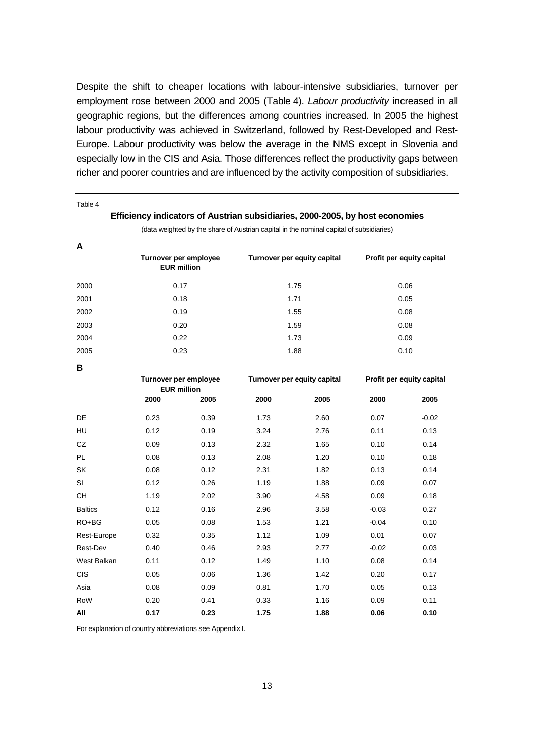Despite the shift to cheaper locations with labour-intensive subsidiaries, turnover per employment rose between 2000 and 2005 (Table 4). Labour productivity increased in all geographic regions, but the differences among countries increased. In 2005 the highest labour productivity was achieved in Switzerland, followed by Rest-Developed and Rest-Europe. Labour productivity was below the average in the NMS except in Slovenia and especially low in the CIS and Asia. Those differences reflect the productivity gaps between richer and poorer countries and are influenced by the activity composition of subsidiaries.

| Table 4                                                  |      |                                             |                             |                                                                                         |                           |                           |
|----------------------------------------------------------|------|---------------------------------------------|-----------------------------|-----------------------------------------------------------------------------------------|---------------------------|---------------------------|
|                                                          |      |                                             |                             | Efficiency indicators of Austrian subsidiaries, 2000-2005, by host economies            |                           |                           |
|                                                          |      |                                             |                             | (data weighted by the share of Austrian capital in the nominal capital of subsidiaries) |                           |                           |
| A                                                        |      |                                             |                             |                                                                                         |                           |                           |
|                                                          |      | Turnover per employee<br><b>EUR million</b> |                             | Turnover per equity capital                                                             |                           | Profit per equity capital |
| 2000                                                     | 0.17 |                                             |                             | 1.75                                                                                    |                           | 0.06                      |
| 2001                                                     |      | 0.18                                        |                             | 1.71                                                                                    |                           | 0.05                      |
| 2002                                                     |      | 0.19                                        |                             | 1.55                                                                                    |                           | 0.08                      |
| 2003                                                     |      | 0.20                                        |                             | 1.59                                                                                    |                           | 0.08                      |
| 2004                                                     |      | 0.22                                        |                             | 1.73                                                                                    |                           | 0.09                      |
| 2005                                                     |      | 0.23                                        |                             | 1.88                                                                                    |                           | 0.10                      |
| В                                                        |      |                                             |                             |                                                                                         |                           |                           |
|                                                          |      | Turnover per employee                       | Turnover per equity capital |                                                                                         | Profit per equity capital |                           |
|                                                          | 2000 | <b>EUR million</b><br>2005                  | 2000                        | 2005                                                                                    | 2000                      | 2005                      |
|                                                          |      |                                             |                             |                                                                                         |                           |                           |
| DE                                                       | 0.23 | 0.39                                        | 1.73                        | 2.60                                                                                    | 0.07                      | $-0.02$                   |
| HU                                                       | 0.12 | 0.19                                        | 3.24                        | 2.76                                                                                    | 0.11                      | 0.13                      |
| CZ                                                       | 0.09 | 0.13                                        | 2.32                        | 1.65                                                                                    | 0.10                      | 0.14                      |
| PL                                                       | 0.08 | 0.13                                        | 2.08                        | 1.20                                                                                    | 0.10                      | 0.18                      |
| SK                                                       | 0.08 | 0.12                                        | 2.31                        | 1.82                                                                                    | 0.13                      | 0.14                      |
| SI                                                       | 0.12 | 0.26                                        | 1.19                        | 1.88                                                                                    | 0.09                      | 0.07                      |
| <b>CH</b>                                                | 1.19 | 2.02                                        | 3.90                        | 4.58                                                                                    | 0.09                      | 0.18                      |
| <b>Baltics</b>                                           | 0.12 | 0.16                                        | 2.96                        | 3.58                                                                                    | $-0.03$                   | 0.27                      |
| RO+BG                                                    | 0.05 | 0.08                                        | 1.53                        | 1.21                                                                                    | $-0.04$                   | 0.10                      |
| Rest-Europe                                              | 0.32 | 0.35                                        | 1.12                        | 1.09                                                                                    | 0.01                      | 0.07                      |
| Rest-Dev                                                 | 0.40 | 0.46                                        | 2.93                        | 2.77                                                                                    | $-0.02$                   | 0.03                      |
| West Balkan                                              | 0.11 | 0.12                                        | 1.49                        | 1.10                                                                                    | 0.08                      | 0.14                      |
| <b>CIS</b>                                               | 0.05 | 0.06                                        | 1.36                        | 1.42                                                                                    | 0.20                      | 0.17                      |
| Asia                                                     | 0.08 | 0.09                                        | 0.81                        | 1.70                                                                                    | 0.05                      | 0.13                      |
| RoW                                                      | 0.20 | 0.41                                        | 0.33                        | 1.16                                                                                    | 0.09                      | 0.11                      |
| All                                                      | 0.17 | 0.23                                        | 1.75                        | 1.88                                                                                    | 0.06                      | 0.10                      |
| For explanation of country abbreviations see Appendix I. |      |                                             |                             |                                                                                         |                           |                           |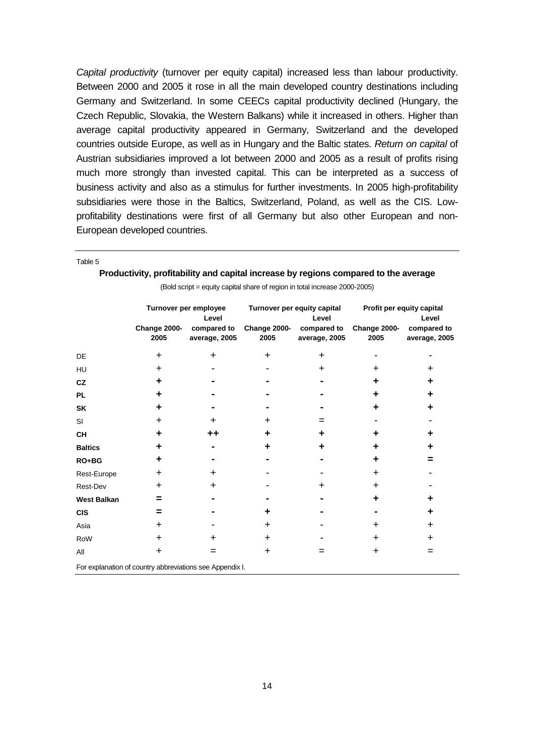Capital productivity (turnover per equity capital) increased less than labour productivity. Between 2000 and 2005 it rose in all the main developed country destinations including Germany and Switzerland. In some CEECs capital productivity declined (Hungary, the Czech Republic, Slovakia, the Western Balkans) while it increased in others. Higher than average capital productivity appeared in Germany, Switzerland and the developed countries outside Europe, as well as in Hungary and the Baltic states. Return on capital of Austrian subsidiaries improved a lot between 2000 and 2005 as a result of profits rising much more strongly than invested capital. This can be interpreted as a success of business activity and also as a stimulus for further investments. In 2005 high-profitability subsidiaries were those in the Baltics, Switzerland, Poland, as well as the CIS. Lowprofitability destinations were first of all Germany but also other European and non-European developed countries.

|                    | (DOM SCIIPLE EQUILY CAPITAL STRIE OF EQIOT IT LORD ITICLEASE 2000-2000) |               |              |                             |                           |               |  |
|--------------------|-------------------------------------------------------------------------|---------------|--------------|-----------------------------|---------------------------|---------------|--|
|                    | Turnover per employee                                                   |               |              | Turnover per equity capital | Profit per equity capital |               |  |
|                    |                                                                         | Level         |              | Level                       | Level                     |               |  |
|                    | Change 2000-                                                            | compared to   | Change 2000- | compared to                 | Change 2000-              | compared to   |  |
|                    | 2005                                                                    | average, 2005 | 2005         | average, 2005               | 2005                      | average, 2005 |  |
| DE                 | $\ddot{}$                                                               | $\ddot{}$     | $\ddot{}$    | $\ddot{}$                   |                           |               |  |
| HU                 | $\ddot{}$                                                               |               |              | $\ddot{}$                   | $\pm$                     | ÷             |  |
| <b>CZ</b>          | ÷                                                                       |               |              |                             | ٠                         | ÷             |  |
| <b>PL</b>          | ÷                                                                       |               |              |                             | ٠                         | ÷             |  |
| <b>SK</b>          | ÷                                                                       |               |              |                             | ٠                         |               |  |
| <b>SI</b>          | $\ddot{}$                                                               | $\div$        | $\div$       | $=$                         |                           |               |  |
| <b>CH</b>          | ٠                                                                       | ++            | ٠            | ٠                           | ٠                         |               |  |
| <b>Baltics</b>     | ٠                                                                       |               |              |                             | ٠                         |               |  |
| $RO+BG$            | ÷                                                                       |               |              |                             | ٠                         |               |  |
| Rest-Europe        | $\ddot{}$                                                               | $\div$        |              |                             | $\ddot{}$                 |               |  |
| Rest-Dev           | $\div$                                                                  | ٠             |              | ÷                           | ٠                         |               |  |
| <b>West Balkan</b> | =                                                                       |               |              |                             | ٠                         |               |  |
| <b>CIS</b>         | =                                                                       |               |              |                             |                           |               |  |
| Asia               | $\div$                                                                  |               | $\div$       |                             | $\div$                    | ٠             |  |
| RoW                | $\ddot{}$                                                               | $\div$        | $\div$       |                             | $\pm$                     | ٠             |  |
| All                | $\ddot{}$                                                               | $=$           | $\ddot{}$    | =                           | +                         | $=$           |  |
|                    | For explanation of country abbreviations see Appendix I.                |               |              |                             |                           |               |  |

**Productivity, profitability and capital increase by regions compared to the average**  (Bold script = equity capital share of region in total increase 2000-2005)

Table 5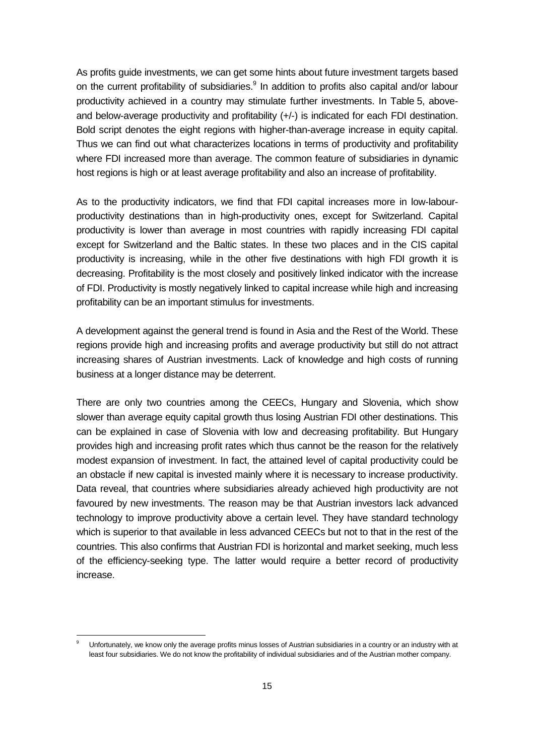As profits guide investments, we can get some hints about future investment targets based on the current profitability of subsidiaries.<sup>9</sup> In addition to profits also capital and/or labour productivity achieved in a country may stimulate further investments. In Table 5, aboveand below-average productivity and profitability (+/-) is indicated for each FDI destination. Bold script denotes the eight regions with higher-than-average increase in equity capital. Thus we can find out what characterizes locations in terms of productivity and profitability where FDI increased more than average. The common feature of subsidiaries in dynamic host regions is high or at least average profitability and also an increase of profitability.

As to the productivity indicators, we find that FDI capital increases more in low-labourproductivity destinations than in high-productivity ones, except for Switzerland. Capital productivity is lower than average in most countries with rapidly increasing FDI capital except for Switzerland and the Baltic states. In these two places and in the CIS capital productivity is increasing, while in the other five destinations with high FDI growth it is decreasing. Profitability is the most closely and positively linked indicator with the increase of FDI. Productivity is mostly negatively linked to capital increase while high and increasing profitability can be an important stimulus for investments.

A development against the general trend is found in Asia and the Rest of the World. These regions provide high and increasing profits and average productivity but still do not attract increasing shares of Austrian investments. Lack of knowledge and high costs of running business at a longer distance may be deterrent.

There are only two countries among the CEECs, Hungary and Slovenia, which show slower than average equity capital growth thus losing Austrian FDI other destinations. This can be explained in case of Slovenia with low and decreasing profitability. But Hungary provides high and increasing profit rates which thus cannot be the reason for the relatively modest expansion of investment. In fact, the attained level of capital productivity could be an obstacle if new capital is invested mainly where it is necessary to increase productivity. Data reveal, that countries where subsidiaries already achieved high productivity are not favoured by new investments. The reason may be that Austrian investors lack advanced technology to improve productivity above a certain level. They have standard technology which is superior to that available in less advanced CEECs but not to that in the rest of the countries. This also confirms that Austrian FDI is horizontal and market seeking, much less of the efficiency-seeking type. The latter would require a better record of productivity increase.

l

<sup>9</sup> Unfortunately, we know only the average profits minus losses of Austrian subsidiaries in a country or an industry with at least four subsidiaries. We do not know the profitability of individual subsidiaries and of the Austrian mother company.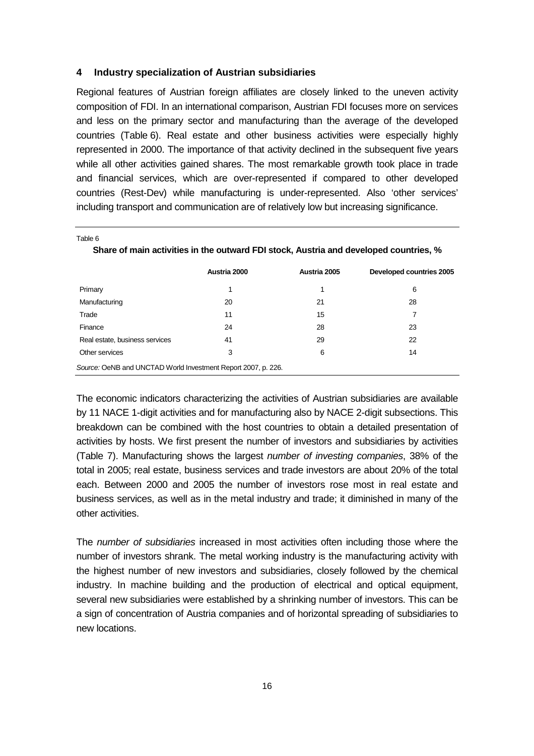### **4 Industry specialization of Austrian subsidiaries**

Table 6

Regional features of Austrian foreign affiliates are closely linked to the uneven activity composition of FDI. In an international comparison, Austrian FDI focuses more on services and less on the primary sector and manufacturing than the average of the developed countries (Table 6). Real estate and other business activities were especially highly represented in 2000. The importance of that activity declined in the subsequent five years while all other activities gained shares. The most remarkable growth took place in trade and financial services, which are over-represented if compared to other developed countries (Rest-Dev) while manufacturing is under-represented. Also 'other services' including transport and communication are of relatively low but increasing significance.

|                                                               | Austria 2000 | Austria 2005 | Developed countries 2005 |  |  |  |
|---------------------------------------------------------------|--------------|--------------|--------------------------|--|--|--|
| Primary                                                       | 1            | 1            | 6                        |  |  |  |
| Manufacturing                                                 | 20           | 21           | 28                       |  |  |  |
| Trade                                                         | 11           | 15           | 7                        |  |  |  |
| Finance                                                       | 24           | 28           | 23                       |  |  |  |
| Real estate, business services                                | 41           | 29           | 22                       |  |  |  |
| Other services                                                | 3            | 6            | 14                       |  |  |  |
| Source: OeNB and UNCTAD World Investment Report 2007, p. 226. |              |              |                          |  |  |  |

**Share of main activities in the outward FDI stock, Austria and developed countries, %** 

The economic indicators characterizing the activities of Austrian subsidiaries are available by 11 NACE 1-digit activities and for manufacturing also by NACE 2-digit subsections. This breakdown can be combined with the host countries to obtain a detailed presentation of activities by hosts. We first present the number of investors and subsidiaries by activities (Table 7). Manufacturing shows the largest number of investing companies, 38% of the total in 2005; real estate, business services and trade investors are about 20% of the total each. Between 2000 and 2005 the number of investors rose most in real estate and business services, as well as in the metal industry and trade; it diminished in many of the other activities.

The number of subsidiaries increased in most activities often including those where the number of investors shrank. The metal working industry is the manufacturing activity with the highest number of new investors and subsidiaries, closely followed by the chemical industry. In machine building and the production of electrical and optical equipment, several new subsidiaries were established by a shrinking number of investors. This can be a sign of concentration of Austria companies and of horizontal spreading of subsidiaries to new locations.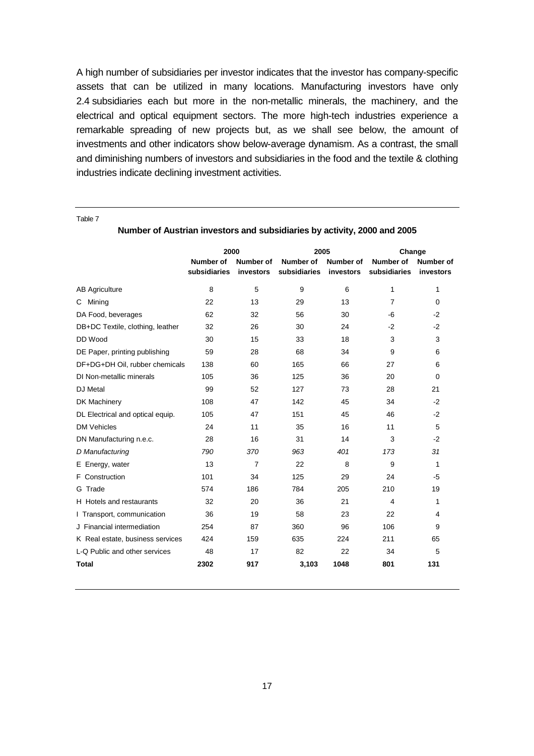A high number of subsidiaries per investor indicates that the investor has company-specific assets that can be utilized in many locations. Manufacturing investors have only 2.4 subsidiaries each but more in the non-metallic minerals, the machinery, and the electrical and optical equipment sectors. The more high-tech industries experience a remarkable spreading of new projects but, as we shall see below, the amount of investments and other indicators show below-average dynamism. As a contrast, the small and diminishing numbers of investors and subsidiaries in the food and the textile & clothing industries indicate declining investment activities.

Table 7

|                                  | 2000         |                  | 2005         |                  | Change         |                |  |  |
|----------------------------------|--------------|------------------|--------------|------------------|----------------|----------------|--|--|
|                                  | Number of    | <b>Number of</b> | Number of    | <b>Number of</b> | Number of      | Number of      |  |  |
|                                  | subsidiaries | investors        | subsidiaries | investors        | subsidiaries   | investors      |  |  |
| <b>AB Agriculture</b>            | 8            | 5                | 9            | 6                | $\mathbf{1}$   | 1              |  |  |
| Mining<br>C.                     | 22           | 13               | 29           | 13               | $\overline{7}$ | $\Omega$       |  |  |
| DA Food, beverages               | 62           | 32               | 56           | 30               | $-6$           | $-2$           |  |  |
| DB+DC Textile, clothing, leather | 32           | 26               | 30           | 24               | $-2$           | $-2$           |  |  |
| DD Wood                          | 30           | 15               | 33           | 18               | 3              | 3              |  |  |
| DE Paper, printing publishing    | 59           | 28               | 68           | 34               | 9              | 6              |  |  |
| DF+DG+DH Oil, rubber chemicals   | 138          | 60               | 165          | 66               | 27             | 6              |  |  |
| DI Non-metallic minerals         | 105          | 36               | 125          | 36               | 20             | 0              |  |  |
| DJ Metal                         | 99           | 52               | 127          | 73               | 28             | 21             |  |  |
| DK Machinery                     | 108          | 47               | 142          | 45               | 34             | $-2$           |  |  |
| DL Electrical and optical equip. | 105          | 47               | 151          | 45               | 46             | $-2$           |  |  |
| <b>DM Vehicles</b>               | 24           | 11               | 35           | 16               | 11             | 5              |  |  |
| DN Manufacturing n.e.c.          | 28           | 16               | 31           | 14               | 3              | $-2$           |  |  |
| D Manufacturing                  | 790          | 370              | 963          | 401              | 173            | 31             |  |  |
| E Energy, water                  | 13           | 7                | 22           | 8                | 9              | 1              |  |  |
| F Construction                   | 101          | 34               | 125          | 29               | 24             | $-5$           |  |  |
| G Trade                          | 574          | 186              | 784          | 205              | 210            | 19             |  |  |
| H Hotels and restaurants         | 32           | 20               | 36           | 21               | 4              | 1              |  |  |
| I Transport, communication       | 36           | 19               | 58           | 23               | 22             | $\overline{4}$ |  |  |
| J Financial intermediation       | 254          | 87               | 360          | 96               | 106            | 9              |  |  |
| K Real estate, business services | 424          | 159              | 635          | 224              | 211            | 65             |  |  |
| L-Q Public and other services    | 48           | 17               | 82           | 22               | 34             | 5              |  |  |
| <b>Total</b>                     | 2302         | 917              | 3,103        | 1048             | 801            | 131            |  |  |
|                                  |              |                  |              |                  |                |                |  |  |

**Number of Austrian investors and subsidiaries by activity, 2000 and 2005**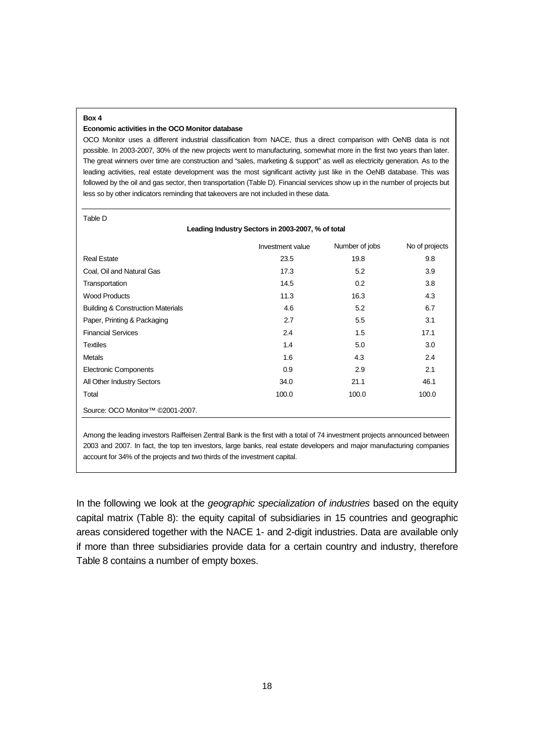#### **Box 4**

#### **Economic activities in the OCO Monitor database**

OCO Monitor uses a different industrial classification from NACE, thus a direct comparison with OeNB data is not possible. In 2003-2007, 30% of the new projects went to manufacturing, somewhat more in the first two years than later. The great winners over time are construction and "sales, marketing & support" as well as electricity generation. As to the leading activities, real estate development was the most significant activity just like in the OeNB database. This was followed by the oil and gas sector, then transportation (Table D). Financial services show up in the number of projects but less so by other indicators reminding that takeovers are not included in these data.

| I | ۰, |  |
|---|----|--|

| Leading Industry Sectors in 2003-2007, % of total |                  |                |                |  |  |  |  |  |
|---------------------------------------------------|------------------|----------------|----------------|--|--|--|--|--|
|                                                   | Investment value | Number of jobs | No of projects |  |  |  |  |  |
| <b>Real Estate</b>                                | 23.5             | 19.8           | 9.8            |  |  |  |  |  |
| Coal, Oil and Natural Gas                         | 17.3             | 5.2            | 3.9            |  |  |  |  |  |
| Transportation                                    | 14.5             | 0.2            | 3.8            |  |  |  |  |  |
| <b>Wood Products</b>                              | 11.3             | 16.3           | 4.3            |  |  |  |  |  |
| <b>Building &amp; Construction Materials</b>      | 4.6              | 5.2            | 6.7            |  |  |  |  |  |
| Paper, Printing & Packaging                       | 2.7              | 5.5            | 3.1            |  |  |  |  |  |
| <b>Financial Services</b>                         | 2.4              | 1.5            | 17.1           |  |  |  |  |  |
| <b>Textiles</b>                                   | 1.4              | 5.0            | 3.0            |  |  |  |  |  |
| Metals                                            | 1.6              | 4.3            | 2.4            |  |  |  |  |  |
| <b>Electronic Components</b>                      | 0.9              | 2.9            | 2.1            |  |  |  |  |  |
| All Other Industry Sectors                        | 34.0             | 21.1           | 46.1           |  |  |  |  |  |
| Total                                             | 100.0            | 100.0          | 100.0          |  |  |  |  |  |
| Source: OCO Monitor <sup>™</sup> ©2001-2007.      |                  |                |                |  |  |  |  |  |

Among the leading investors Raiffeisen Zentral Bank is the first with a total of 74 investment projects announced between 2003 and 2007. In fact, the top ten investors, large banks, real estate developers and major manufacturing companies account for 34% of the projects and two thirds of the investment capital.

In the following we look at the geographic specialization of industries based on the equity capital matrix (Table 8): the equity capital of subsidiaries in 15 countries and geographic areas considered together with the NACE 1- and 2-digit industries. Data are available only if more than three subsidiaries provide data for a certain country and industry, therefore Table 8 contains a number of empty boxes.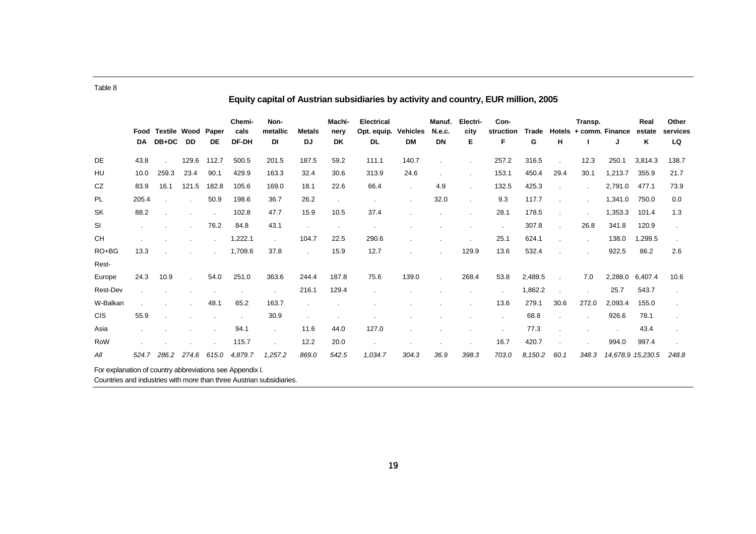|                 |       |                                   |              |                    | Chemi-        | Non-           |                     | Machi-     | <b>Electrical</b> |                       | Manuf.       | Electri-  | Con-           |            |               | Transp.                |         | Real              | Other          |
|-----------------|-------|-----------------------------------|--------------|--------------------|---------------|----------------|---------------------|------------|-------------------|-----------------------|--------------|-----------|----------------|------------|---------------|------------------------|---------|-------------------|----------------|
|                 | DA    | Food Textile Wood<br><b>DB+DC</b> | DD           | Paper<br><b>DE</b> | cals<br>DF-DH | metallic<br>DI | <b>Metals</b><br>DJ | nery<br>DK | Opt. equip.<br>DL | <b>Vehicles</b><br>DM | N.e.c.<br>DN | city<br>Е | struction<br>F | Trade<br>G | н             | Hotels + comm. Finance | J       | estate<br>Κ       | services<br>LQ |
| DE              | 43.8  |                                   | 129.6        | 112.7              | 500.5         | 201.5          | 187.5               | 59.2       | 111.1             | 140.7                 |              |           | 257.2          | 316.5      | $\cdot$       | 12.3                   | 250.1   | 3,814.3           | 138.7          |
| HU              | 10.0  | 259.3                             | 23.4         | 90.1               | 429.9         | 163.3          | 32.4                | 30.6       | 313.9             | 24.6                  |              |           | 153.1          | 450.4      | 29.4          | 30.1                   | 1,213.7 | 355.9             | 21.7           |
| CZ              | 83.9  | 16.1                              | 121.5        | 182.8              | 105.6         | 169.0          | 18.1                | 22.6       | 66.4              | $\cdot$               | 4.9          |           | 132.5          | 425.3      |               | $\sim$                 | 2,791.0 | 477.1             | 73.9           |
| PL              | 205.4 |                                   |              | 50.9               | 198.6         | 36.7           | 26.2                |            |                   |                       | 32.0         |           | 9.3            | 117.7      |               |                        | 1,341.0 | 750.0             | 0.0            |
| SK              | 88.2  |                                   |              |                    | 102.8         | 47.7           | 15.9                | 10.5       | 37.4              |                       |              |           | 28.1           | 178.5      |               |                        | 1,353.3 | 101.4             | 1.3            |
| SI              |       |                                   |              | 76.2               | 84.8          | 43.1           |                     |            | $\cdot$           |                       |              |           | $\blacksquare$ | 307.8      |               | 26.8                   | 341.8   | 120.9             |                |
| <b>CH</b>       |       |                                   |              |                    | 1,222.1       | $\mathbf{r}$   | 104.7               | 22.5       | 290.6             |                       |              |           | 25.1           | 624.1      |               |                        | 138.0   | 1,299.5           |                |
| RO+BG           | 13.3  |                                   |              |                    | 1,709.6       | 37.8           |                     | 15.9       | 12.7              |                       |              | 129.9     | 13.6           | 532.4      |               |                        | 922.5   | 86.2              | 2.6            |
| Rest-           |       |                                   |              |                    |               |                |                     |            |                   |                       |              |           |                |            |               |                        |         |                   |                |
| Europe          | 24.3  | 10.9                              | $\mathbf{r}$ | 54.0               | 251.0         | 363.6          | 244.4               | 187.8      | 75.6              | 139.0                 | $\mathbf{r}$ | 268.4     | 53.8           | 2,489.5    | $\mathcal{L}$ | 7.0                    | 2,288.0 | 6,407.4           | 10.6           |
| <b>Rest-Dev</b> |       |                                   |              |                    |               |                | 216.1               | 129.4      |                   |                       |              |           | $\blacksquare$ | 1,862.2    |               |                        | 25.7    | 543.7             |                |
| W-Balkan        |       |                                   |              | 48.1               | 65.2          | 163.7          |                     |            |                   |                       |              |           | 13.6           | 279.1      | 30.6          | 272.0                  | 2,093.4 | 155.0             |                |
| <b>CIS</b>      | 55.9  |                                   |              |                    |               | 30.9           |                     |            |                   |                       |              |           | $\cdot$        | 68.8       |               |                        | 926.6   | 78.1              |                |
| Asia            |       |                                   |              |                    | 94.1          | $\blacksquare$ | 11.6                | 44.0       | 127.0             |                       |              |           |                | 77.3       |               |                        |         | 43.4              |                |
| RoW             |       |                                   |              |                    | 115.7         |                | 12.2                | 20.0       |                   |                       |              |           | 16.7           | 420.7      |               |                        | 994.0   | 997.4             |                |
| All             |       | 524.7 286.2 274.6                 |              | 615.0              | 4,879.7       | 1,257.2        | 869.0               | 542.5      | 1,034.7           | 304.3                 | 36.9         | 398.3     | 703.0          | 8,150.2    | 60.1          | 348.3                  |         | 14,678.9 15,230.5 | 248.8          |

**Equity capital of Austrian subsidiaries by activity and country, EUR million, 2005** 

Countries and industries with more than three Austrian subsidiaries.

Table 8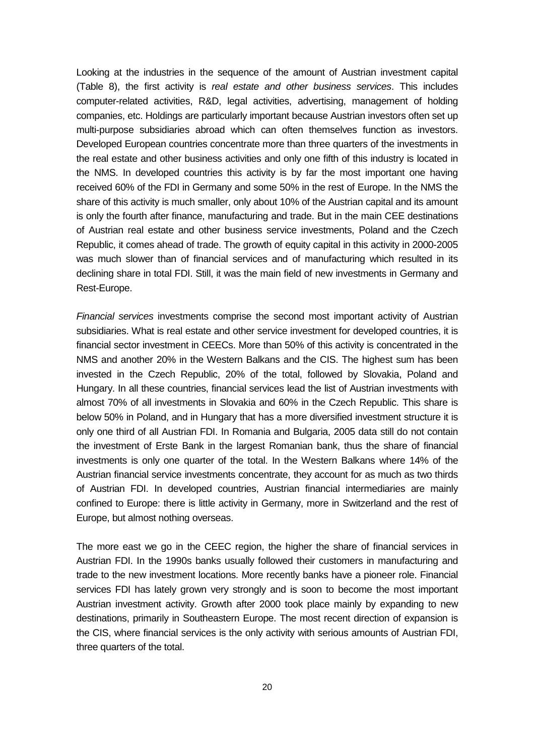Looking at the industries in the sequence of the amount of Austrian investment capital (Table 8), the first activity is real estate and other business services. This includes computer-related activities, R&D, legal activities, advertising, management of holding companies, etc. Holdings are particularly important because Austrian investors often set up multi-purpose subsidiaries abroad which can often themselves function as investors. Developed European countries concentrate more than three quarters of the investments in the real estate and other business activities and only one fifth of this industry is located in the NMS. In developed countries this activity is by far the most important one having received 60% of the FDI in Germany and some 50% in the rest of Europe. In the NMS the share of this activity is much smaller, only about 10% of the Austrian capital and its amount is only the fourth after finance, manufacturing and trade. But in the main CEE destinations of Austrian real estate and other business service investments, Poland and the Czech Republic, it comes ahead of trade. The growth of equity capital in this activity in 2000-2005 was much slower than of financial services and of manufacturing which resulted in its declining share in total FDI. Still, it was the main field of new investments in Germany and Rest-Europe.

Financial services investments comprise the second most important activity of Austrian subsidiaries. What is real estate and other service investment for developed countries, it is financial sector investment in CEECs. More than 50% of this activity is concentrated in the NMS and another 20% in the Western Balkans and the CIS. The highest sum has been invested in the Czech Republic, 20% of the total, followed by Slovakia, Poland and Hungary. In all these countries, financial services lead the list of Austrian investments with almost 70% of all investments in Slovakia and 60% in the Czech Republic. This share is below 50% in Poland, and in Hungary that has a more diversified investment structure it is only one third of all Austrian FDI. In Romania and Bulgaria, 2005 data still do not contain the investment of Erste Bank in the largest Romanian bank, thus the share of financial investments is only one quarter of the total. In the Western Balkans where 14% of the Austrian financial service investments concentrate, they account for as much as two thirds of Austrian FDI. In developed countries, Austrian financial intermediaries are mainly confined to Europe: there is little activity in Germany, more in Switzerland and the rest of Europe, but almost nothing overseas.

The more east we go in the CEEC region, the higher the share of financial services in Austrian FDI. In the 1990s banks usually followed their customers in manufacturing and trade to the new investment locations. More recently banks have a pioneer role. Financial services FDI has lately grown very strongly and is soon to become the most important Austrian investment activity. Growth after 2000 took place mainly by expanding to new destinations, primarily in Southeastern Europe. The most recent direction of expansion is the CIS, where financial services is the only activity with serious amounts of Austrian FDI, three quarters of the total.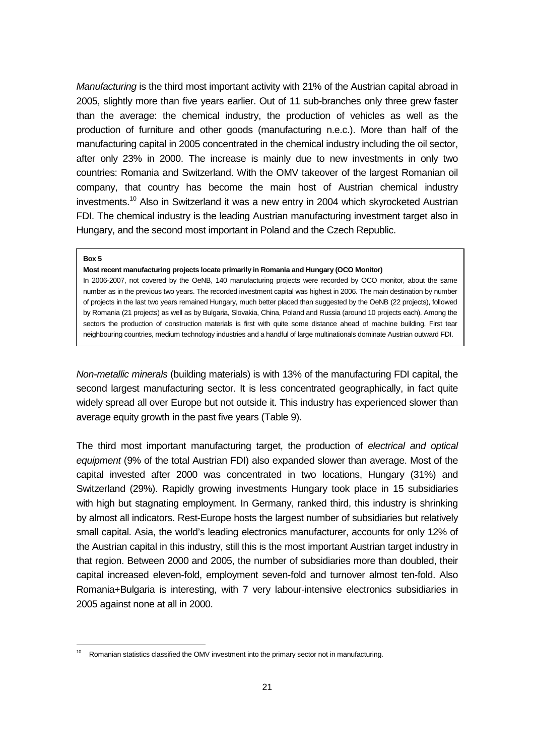Manufacturing is the third most important activity with 21% of the Austrian capital abroad in 2005, slightly more than five years earlier. Out of 11 sub-branches only three grew faster than the average: the chemical industry, the production of vehicles as well as the production of furniture and other goods (manufacturing n.e.c.). More than half of the manufacturing capital in 2005 concentrated in the chemical industry including the oil sector, after only 23% in 2000. The increase is mainly due to new investments in only two countries: Romania and Switzerland. With the OMV takeover of the largest Romanian oil company, that country has become the main host of Austrian chemical industry investments.<sup>10</sup> Also in Switzerland it was a new entry in 2004 which skyrocketed Austrian FDI. The chemical industry is the leading Austrian manufacturing investment target also in Hungary, and the second most important in Poland and the Czech Republic.

#### **Box 5**

-

### **Most recent manufacturing projects locate primarily in Romania and Hungary (OCO Monitor)**

In 2006-2007, not covered by the OeNB, 140 manufacturing projects were recorded by OCO monitor, about the same number as in the previous two years. The recorded investment capital was highest in 2006. The main destination by number of projects in the last two years remained Hungary, much better placed than suggested by the OeNB (22 projects), followed by Romania (21 projects) as well as by Bulgaria, Slovakia, China, Poland and Russia (around 10 projects each). Among the sectors the production of construction materials is first with quite some distance ahead of machine building. First tear neighbouring countries, medium technology industries and a handful of large multinationals dominate Austrian outward FDI.

Non-metallic minerals (building materials) is with 13% of the manufacturing FDI capital, the second largest manufacturing sector. It is less concentrated geographically, in fact quite widely spread all over Europe but not outside it. This industry has experienced slower than average equity growth in the past five years (Table 9).

The third most important manufacturing target, the production of electrical and optical equipment (9% of the total Austrian FDI) also expanded slower than average. Most of the capital invested after 2000 was concentrated in two locations, Hungary (31%) and Switzerland (29%). Rapidly growing investments Hungary took place in 15 subsidiaries with high but stagnating employment. In Germany, ranked third, this industry is shrinking by almost all indicators. Rest-Europe hosts the largest number of subsidiaries but relatively small capital. Asia, the world's leading electronics manufacturer, accounts for only 12% of the Austrian capital in this industry, still this is the most important Austrian target industry in that region. Between 2000 and 2005, the number of subsidiaries more than doubled, their capital increased eleven-fold, employment seven-fold and turnover almost ten-fold. Also Romania+Bulgaria is interesting, with 7 very labour-intensive electronics subsidiaries in 2005 against none at all in 2000.

Romanian statistics classified the OMV investment into the primary sector not in manufacturing.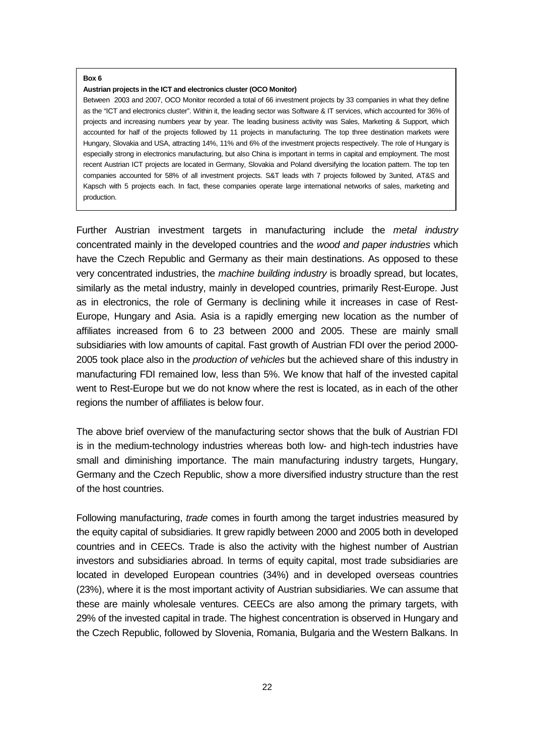#### **Box 6**

#### **Austrian projects in the ICT and electronics cluster (OCO Monitor)**

Between 2003 and 2007, OCO Monitor recorded a total of 66 investment projects by 33 companies in what they define as the "ICT and electronics cluster". Within it, the leading sector was Software & IT services, which accounted for 36% of projects and increasing numbers year by year. The leading business activity was Sales, Marketing & Support, which accounted for half of the projects followed by 11 projects in manufacturing. The top three destination markets were Hungary, Slovakia and USA, attracting 14%, 11% and 6% of the investment projects respectively. The role of Hungary is especially strong in electronics manufacturing, but also China is important in terms in capital and employment. The most recent Austrian ICT projects are located in Germany, Slovakia and Poland diversifying the location pattern. The top ten companies accounted for 58% of all investment projects. S&T leads with 7 projects followed by 3united, AT&S and Kapsch with 5 projects each. In fact, these companies operate large international networks of sales, marketing and production.

Further Austrian investment targets in manufacturing include the metal industry concentrated mainly in the developed countries and the wood and paper industries which have the Czech Republic and Germany as their main destinations. As opposed to these very concentrated industries, the machine building industry is broadly spread, but locates, similarly as the metal industry, mainly in developed countries, primarily Rest-Europe. Just as in electronics, the role of Germany is declining while it increases in case of Rest-Europe, Hungary and Asia. Asia is a rapidly emerging new location as the number of affiliates increased from 6 to 23 between 2000 and 2005. These are mainly small subsidiaries with low amounts of capital. Fast growth of Austrian FDI over the period 2000- 2005 took place also in the *production of vehicles* but the achieved share of this industry in manufacturing FDI remained low, less than 5%. We know that half of the invested capital went to Rest-Europe but we do not know where the rest is located, as in each of the other regions the number of affiliates is below four.

The above brief overview of the manufacturing sector shows that the bulk of Austrian FDI is in the medium-technology industries whereas both low- and high-tech industries have small and diminishing importance. The main manufacturing industry targets, Hungary, Germany and the Czech Republic, show a more diversified industry structure than the rest of the host countries.

Following manufacturing, *trade* comes in fourth among the target industries measured by the equity capital of subsidiaries. It grew rapidly between 2000 and 2005 both in developed countries and in CEECs. Trade is also the activity with the highest number of Austrian investors and subsidiaries abroad. In terms of equity capital, most trade subsidiaries are located in developed European countries (34%) and in developed overseas countries (23%), where it is the most important activity of Austrian subsidiaries. We can assume that these are mainly wholesale ventures. CEECs are also among the primary targets, with 29% of the invested capital in trade. The highest concentration is observed in Hungary and the Czech Republic, followed by Slovenia, Romania, Bulgaria and the Western Balkans. In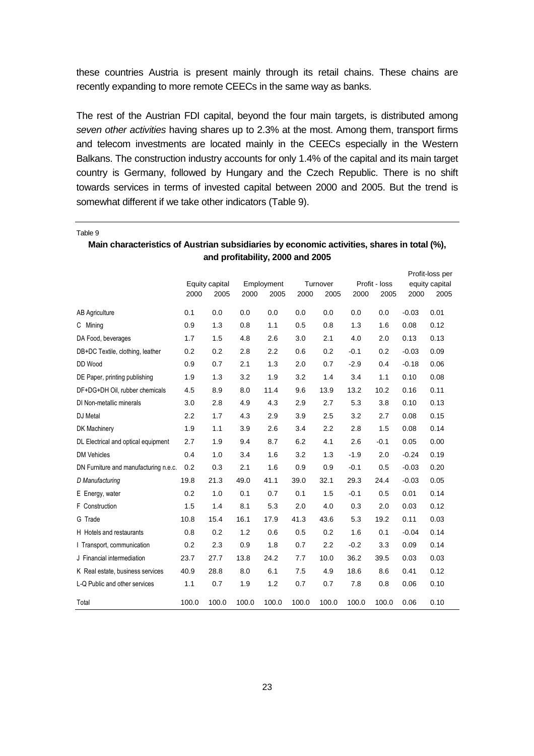these countries Austria is present mainly through its retail chains. These chains are recently expanding to more remote CEECs in the same way as banks.

The rest of the Austrian FDI capital, beyond the four main targets, is distributed among seven other activities having shares up to 2.3% at the most. Among them, transport firms and telecom investments are located mainly in the CEECs especially in the Western Balkans. The construction industry accounts for only 1.4% of the capital and its main target country is Germany, followed by Hungary and the Czech Republic. There is no shift towards services in terms of invested capital between 2000 and 2005. But the trend is somewhat different if we take other indicators (Table 9).

|                                       |       |                        |       | Employment |       | Turnover |        | Profit-loss per<br>equity capital |         |      |
|---------------------------------------|-------|------------------------|-------|------------|-------|----------|--------|-----------------------------------|---------|------|
|                                       | 2000  | Equity capital<br>2005 | 2000  | 2005       | 2000  | 2005     | 2000   | Profit - loss<br>2005             | 2000    | 2005 |
| <b>AB Agriculture</b>                 | 0.1   | 0.0                    | 0.0   | 0.0        | 0.0   | 0.0      | 0.0    | 0.0                               | $-0.03$ | 0.01 |
| C Mining                              | 0.9   | 1.3                    | 0.8   | 1.1        | 0.5   | 0.8      | 1.3    | 1.6                               | 0.08    | 0.12 |
| DA Food, beverages                    | 1.7   | 1.5                    | 4.8   | 2.6        | 3.0   | 2.1      | 4.0    | 2.0                               | 0.13    | 0.13 |
| DB+DC Textile, clothing, leather      | 0.2   | 0.2                    | 2.8   | 2.2        | 0.6   | 0.2      | $-0.1$ | 0.2                               | $-0.03$ | 0.09 |
| DD Wood                               | 0.9   | 0.7                    | 2.1   | 1.3        | 2.0   | 0.7      | $-2.9$ | 0.4                               | $-0.18$ | 0.06 |
| DE Paper, printing publishing         | 1.9   | 1.3                    | 3.2   | 1.9        | 3.2   | 1.4      | 3.4    | 1.1                               | 0.10    | 0.08 |
| DF+DG+DH Oil, rubber chemicals        | 4.5   | 8.9                    | 8.0   | 11.4       | 9.6   | 13.9     | 13.2   | 10.2                              | 0.16    | 0.11 |
| DI Non-metallic minerals              | 3.0   | 2.8                    | 4.9   | 4.3        | 2.9   | 2.7      | 5.3    | 3.8                               | 0.10    | 0.13 |
| DJ Metal                              | 2.2   | 1.7                    | 4.3   | 2.9        | 3.9   | 2.5      | 3.2    | 2.7                               | 0.08    | 0.15 |
| <b>DK Machinery</b>                   | 1.9   | 1.1                    | 3.9   | 2.6        | 3.4   | 2.2      | 2.8    | 1.5                               | 0.08    | 0.14 |
| DL Electrical and optical equipment   | 2.7   | 1.9                    | 9.4   | 8.7        | 6.2   | 4.1      | 2.6    | $-0.1$                            | 0.05    | 0.00 |
| <b>DM Vehicles</b>                    | 0.4   | 1.0                    | 3.4   | 1.6        | 3.2   | 1.3      | $-1.9$ | 2.0                               | $-0.24$ | 0.19 |
| DN Furniture and manufacturing n.e.c. | 0.2   | 0.3                    | 2.1   | 1.6        | 0.9   | 0.9      | $-0.1$ | 0.5                               | $-0.03$ | 0.20 |
| D Manufacturing                       | 19.8  | 21.3                   | 49.0  | 41.1       | 39.0  | 32.1     | 29.3   | 24.4                              | $-0.03$ | 0.05 |
| E Energy, water                       | 0.2   | 1.0                    | 0.1   | 0.7        | 0.1   | 1.5      | $-0.1$ | 0.5                               | 0.01    | 0.14 |
| F Construction                        | 1.5   | 1.4                    | 8.1   | 5.3        | 2.0   | 4.0      | 0.3    | 2.0                               | 0.03    | 0.12 |
| G Trade                               | 10.8  | 15.4                   | 16.1  | 17.9       | 41.3  | 43.6     | 5.3    | 19.2                              | 0.11    | 0.03 |
| H Hotels and restaurants              | 0.8   | 0.2                    | 1.2   | 0.6        | 0.5   | 0.2      | 1.6    | 0.1                               | $-0.04$ | 0.14 |
| I Transport, communication            | 0.2   | 2.3                    | 0.9   | 1.8        | 0.7   | 2.2      | $-0.2$ | 3.3                               | 0.09    | 0.14 |
| J Financial intermediation            | 23.7  | 27.7                   | 13.8  | 24.2       | 7.7   | 10.0     | 36.2   | 39.5                              | 0.03    | 0.03 |
| K Real estate, business services      | 40.9  | 28.8                   | 8.0   | 6.1        | 7.5   | 4.9      | 18.6   | 8.6                               | 0.41    | 0.12 |
| L-Q Public and other services         | 1.1   | 0.7                    | 1.9   | 1.2        | 0.7   | 0.7      | 7.8    | 0.8                               | 0.06    | 0.10 |
| Total                                 | 100.0 | 100.0                  | 100.0 | 100.0      | 100.0 | 100.0    | 100.0  | 100.0                             | 0.06    | 0.10 |

**Main characteristics of Austrian subsidiaries by economic activities, shares in total (%), and profitability, 2000 and 2005** 

Table 9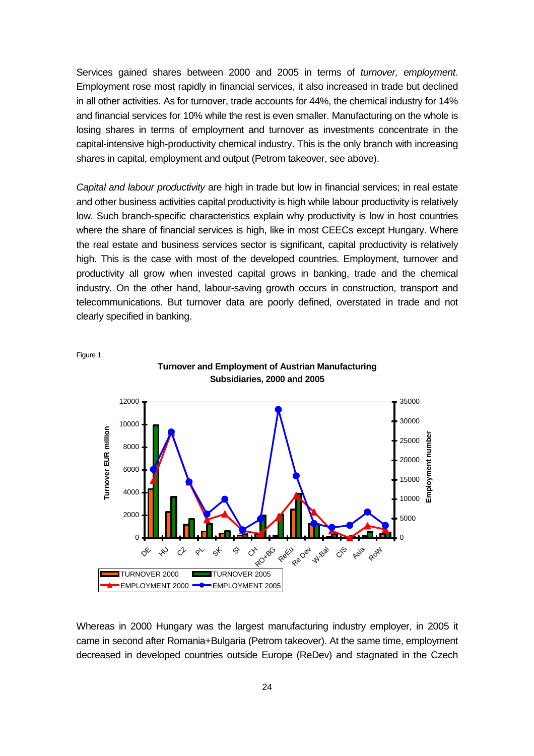Services gained shares between 2000 and 2005 in terms of turnover, employment. Employment rose most rapidly in financial services, it also increased in trade but declined in all other activities. As for turnover, trade accounts for 44%, the chemical industry for 14% and financial services for 10% while the rest is even smaller. Manufacturing on the whole is losing shares in terms of employment and turnover as investments concentrate in the capital-intensive high-productivity chemical industry. This is the only branch with increasing shares in capital, employment and output (Petrom takeover, see above).

Capital and labour productivity are high in trade but low in financial services; in real estate and other business activities capital productivity is high while labour productivity is relatively low. Such branch-specific characteristics explain why productivity is low in host countries where the share of financial services is high, like in most CEECs except Hungary. Where the real estate and business services sector is significant, capital productivity is relatively high. This is the case with most of the developed countries. Employment, turnover and productivity all grow when invested capital grows in banking, trade and the chemical industry. On the other hand, labour-saving growth occurs in construction, transport and telecommunications. But turnover data are poorly defined, overstated in trade and not clearly specified in banking.



Whereas in 2000 Hungary was the largest manufacturing industry employer, in 2005 it came in second after Romania+Bulgaria (Petrom takeover). At the same time, employment decreased in developed countries outside Europe (ReDev) and stagnated in the Czech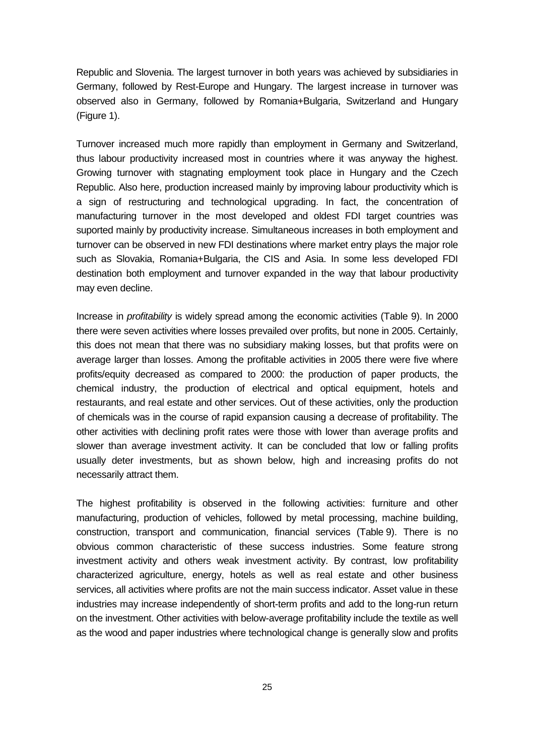Republic and Slovenia. The largest turnover in both years was achieved by subsidiaries in Germany, followed by Rest-Europe and Hungary. The largest increase in turnover was observed also in Germany, followed by Romania+Bulgaria, Switzerland and Hungary (Figure 1).

Turnover increased much more rapidly than employment in Germany and Switzerland, thus labour productivity increased most in countries where it was anyway the highest. Growing turnover with stagnating employment took place in Hungary and the Czech Republic. Also here, production increased mainly by improving labour productivity which is a sign of restructuring and technological upgrading. In fact, the concentration of manufacturing turnover in the most developed and oldest FDI target countries was suported mainly by productivity increase. Simultaneous increases in both employment and turnover can be observed in new FDI destinations where market entry plays the major role such as Slovakia, Romania+Bulgaria, the CIS and Asia. In some less developed FDI destination both employment and turnover expanded in the way that labour productivity may even decline.

Increase in profitability is widely spread among the economic activities (Table 9). In 2000 there were seven activities where losses prevailed over profits, but none in 2005. Certainly, this does not mean that there was no subsidiary making losses, but that profits were on average larger than losses. Among the profitable activities in 2005 there were five where profits/equity decreased as compared to 2000: the production of paper products, the chemical industry, the production of electrical and optical equipment, hotels and restaurants, and real estate and other services. Out of these activities, only the production of chemicals was in the course of rapid expansion causing a decrease of profitability. The other activities with declining profit rates were those with lower than average profits and slower than average investment activity. It can be concluded that low or falling profits usually deter investments, but as shown below, high and increasing profits do not necessarily attract them.

The highest profitability is observed in the following activities: furniture and other manufacturing, production of vehicles, followed by metal processing, machine building, construction, transport and communication, financial services (Table 9). There is no obvious common characteristic of these success industries. Some feature strong investment activity and others weak investment activity. By contrast, low profitability characterized agriculture, energy, hotels as well as real estate and other business services, all activities where profits are not the main success indicator. Asset value in these industries may increase independently of short-term profits and add to the long-run return on the investment. Other activities with below-average profitability include the textile as well as the wood and paper industries where technological change is generally slow and profits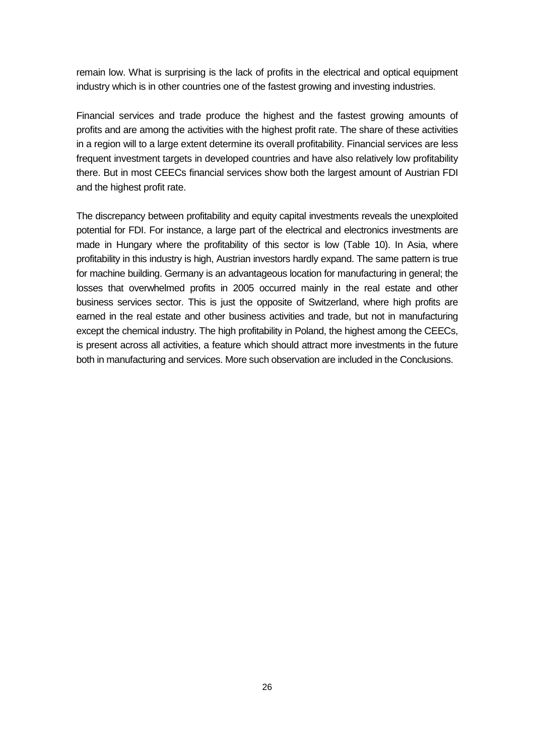remain low. What is surprising is the lack of profits in the electrical and optical equipment industry which is in other countries one of the fastest growing and investing industries.

Financial services and trade produce the highest and the fastest growing amounts of profits and are among the activities with the highest profit rate. The share of these activities in a region will to a large extent determine its overall profitability. Financial services are less frequent investment targets in developed countries and have also relatively low profitability there. But in most CEECs financial services show both the largest amount of Austrian FDI and the highest profit rate.

The discrepancy between profitability and equity capital investments reveals the unexploited potential for FDI. For instance, a large part of the electrical and electronics investments are made in Hungary where the profitability of this sector is low (Table 10). In Asia, where profitability in this industry is high, Austrian investors hardly expand. The same pattern is true for machine building. Germany is an advantageous location for manufacturing in general; the losses that overwhelmed profits in 2005 occurred mainly in the real estate and other business services sector. This is just the opposite of Switzerland, where high profits are earned in the real estate and other business activities and trade, but not in manufacturing except the chemical industry. The high profitability in Poland, the highest among the CEECs, is present across all activities, a feature which should attract more investments in the future both in manufacturing and services. More such observation are included in the Conclusions.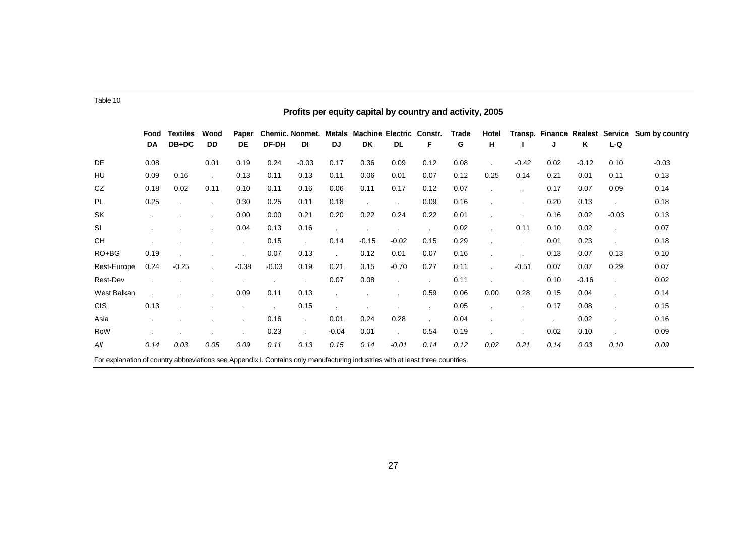|                                                                                                                                | Profits per equity capital by country and activity, 2005 |                          |                      |             |         |                              |              |                                       |           |      |            |            |         |      |         |         |                                                |
|--------------------------------------------------------------------------------------------------------------------------------|----------------------------------------------------------|--------------------------|----------------------|-------------|---------|------------------------------|--------------|---------------------------------------|-----------|------|------------|------------|---------|------|---------|---------|------------------------------------------------|
|                                                                                                                                | Food<br>DA                                               | <b>Textiles</b><br>DB+DC | Wood<br>DD           | Paper<br>DE | DF-DH   | <b>Chemic. Nonmet.</b><br>DI | Metals<br>DJ | <b>Machine Electric Constr.</b><br>DK | <b>DL</b> | F    | Trade<br>G | Hotel<br>н |         | J    | Κ       | L-Q     | Transp. Finance Realest Service Sum by country |
| DE                                                                                                                             | 0.08                                                     |                          | 0.01                 | 0.19        | 0.24    | $-0.03$                      | 0.17         | 0.36                                  | 0.09      | 0.12 | 0.08       |            | $-0.42$ | 0.02 | $-0.12$ | 0.10    | $-0.03$                                        |
| HU                                                                                                                             | 0.09                                                     | 0.16                     | $\sim$               | 0.13        | 0.11    | 0.13                         | 0.11         | 0.06                                  | 0.01      | 0.07 | 0.12       | 0.25       | 0.14    | 0.21 | 0.01    | 0.11    | 0.13                                           |
| CZ                                                                                                                             | 0.18                                                     | 0.02                     | 0.11                 | 0.10        | 0.11    | 0.16                         | 0.06         | 0.11                                  | 0.17      | 0.12 | 0.07       |            |         | 0.17 | 0.07    | 0.09    | 0.14                                           |
| PL                                                                                                                             | 0.25                                                     |                          |                      | 0.30        | 0.25    | 0.11                         | 0.18         | $\blacksquare$                        |           | 0.09 | 0.16       |            |         | 0.20 | 0.13    |         | 0.18                                           |
| <b>SK</b>                                                                                                                      | $\cdot$                                                  |                          | $\blacksquare$       | 0.00        | 0.00    | 0.21                         | 0.20         | 0.22                                  | 0.24      | 0.22 | 0.01       |            |         | 0.16 | 0.02    | $-0.03$ | 0.13                                           |
| SI                                                                                                                             |                                                          |                          |                      | 0.04        | 0.13    | 0.16                         |              |                                       |           |      | 0.02       |            | 0.11    | 0.10 | 0.02    |         | 0.07                                           |
| <b>CH</b>                                                                                                                      |                                                          |                          |                      |             | 0.15    |                              | 0.14         | $-0.15$                               | $-0.02$   | 0.15 | 0.29       |            |         | 0.01 | 0.23    |         | 0.18                                           |
| RO+BG                                                                                                                          | 0.19                                                     |                          |                      |             | 0.07    | 0.13                         |              | 0.12                                  | 0.01      | 0.07 | 0.16       |            |         | 0.13 | 0.07    | 0.13    | 0.10                                           |
| Rest-Europe                                                                                                                    | 0.24                                                     | $-0.25$                  | $\ddot{\phantom{a}}$ | $-0.38$     | $-0.03$ | 0.19                         | 0.21         | 0.15                                  | $-0.70$   | 0.27 | 0.11       |            | $-0.51$ | 0.07 | 0.07    | 0.29    | 0.07                                           |
| Rest-Dev                                                                                                                       |                                                          |                          |                      |             |         |                              | 0.07         | 0.08                                  | $\sim$    |      | 0.11       |            |         | 0.10 | $-0.16$ |         | 0.02                                           |
| West Balkan                                                                                                                    |                                                          |                          |                      | 0.09        | 0.11    | 0.13                         |              |                                       |           | 0.59 | 0.06       | 0.00       | 0.28    | 0.15 | 0.04    |         | 0.14                                           |
| <b>CIS</b>                                                                                                                     | 0.13                                                     |                          |                      |             |         | 0.15                         |              |                                       |           |      | 0.05       |            |         | 0.17 | 0.08    |         | 0.15                                           |
| Asia                                                                                                                           |                                                          |                          |                      |             | 0.16    | $\cdot$                      | 0.01         | 0.24                                  | 0.28      |      | 0.04       |            |         |      | 0.02    |         | 0.16                                           |
| RoW                                                                                                                            |                                                          |                          |                      |             | 0.23    | $\blacksquare$               | $-0.04$      | 0.01                                  |           | 0.54 | 0.19       |            |         | 0.02 | 0.10    |         | 0.09                                           |
| All                                                                                                                            | 0.14                                                     | 0.03                     | 0.05                 | 0.09        | 0.11    | 0.13                         | 0.15         | 0.14                                  | $-0.01$   | 0.14 | 0.12       | 0.02       | 0.21    | 0.14 | 0.03    | 0.10    | 0.09                                           |
| For explanation of country abbreviations see Appendix I. Contains only manufacturing industries with at least three countries. |                                                          |                          |                      |             |         |                              |              |                                       |           |      |            |            |         |      |         |         |                                                |

Table 10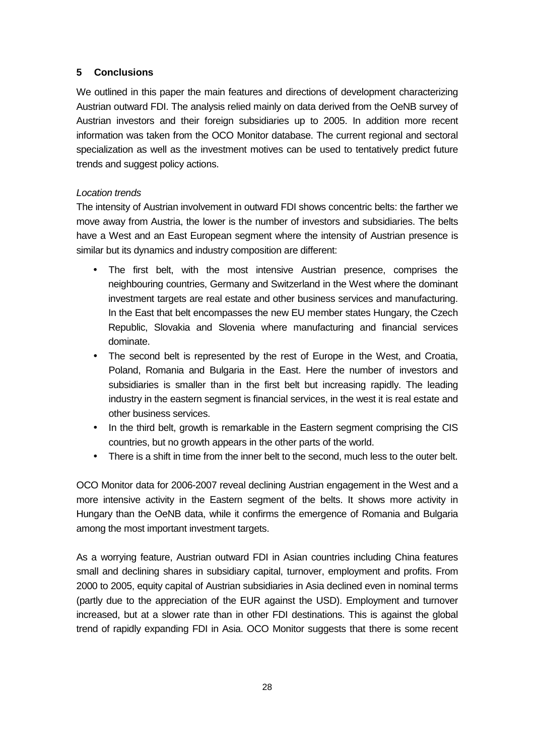## **5 Conclusions**

We outlined in this paper the main features and directions of development characterizing Austrian outward FDI. The analysis relied mainly on data derived from the OeNB survey of Austrian investors and their foreign subsidiaries up to 2005. In addition more recent information was taken from the OCO Monitor database. The current regional and sectoral specialization as well as the investment motives can be used to tentatively predict future trends and suggest policy actions.

### Location trends

The intensity of Austrian involvement in outward FDI shows concentric belts: the farther we move away from Austria, the lower is the number of investors and subsidiaries. The belts have a West and an East European segment where the intensity of Austrian presence is similar but its dynamics and industry composition are different:

- The first belt, with the most intensive Austrian presence, comprises the neighbouring countries, Germany and Switzerland in the West where the dominant investment targets are real estate and other business services and manufacturing. In the East that belt encompasses the new EU member states Hungary, the Czech Republic, Slovakia and Slovenia where manufacturing and financial services dominate.
- The second belt is represented by the rest of Europe in the West, and Croatia, Poland, Romania and Bulgaria in the East. Here the number of investors and subsidiaries is smaller than in the first belt but increasing rapidly. The leading industry in the eastern segment is financial services, in the west it is real estate and other business services.
- In the third belt, growth is remarkable in the Eastern segment comprising the CIS countries, but no growth appears in the other parts of the world.
- There is a shift in time from the inner belt to the second, much less to the outer belt.

OCO Monitor data for 2006-2007 reveal declining Austrian engagement in the West and a more intensive activity in the Eastern segment of the belts. It shows more activity in Hungary than the OeNB data, while it confirms the emergence of Romania and Bulgaria among the most important investment targets.

As a worrying feature, Austrian outward FDI in Asian countries including China features small and declining shares in subsidiary capital, turnover, employment and profits. From 2000 to 2005, equity capital of Austrian subsidiaries in Asia declined even in nominal terms (partly due to the appreciation of the EUR against the USD). Employment and turnover increased, but at a slower rate than in other FDI destinations. This is against the global trend of rapidly expanding FDI in Asia. OCO Monitor suggests that there is some recent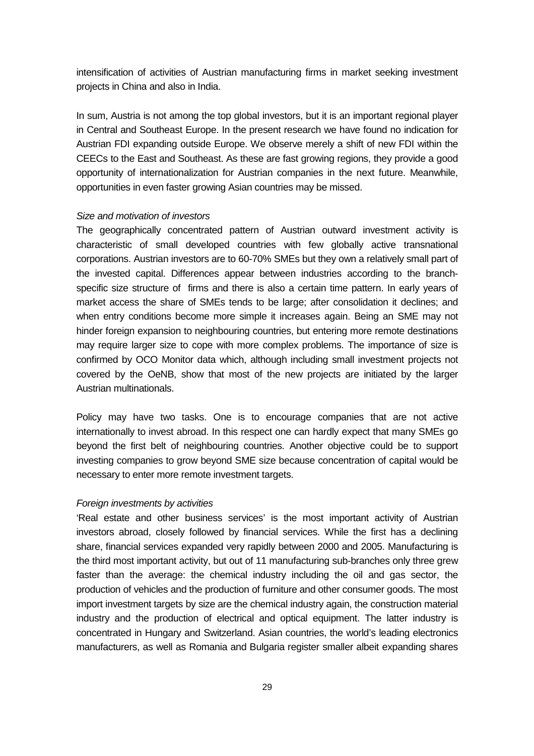intensification of activities of Austrian manufacturing firms in market seeking investment projects in China and also in India.

In sum, Austria is not among the top global investors, but it is an important regional player in Central and Southeast Europe. In the present research we have found no indication for Austrian FDI expanding outside Europe. We observe merely a shift of new FDI within the CEECs to the East and Southeast. As these are fast growing regions, they provide a good opportunity of internationalization for Austrian companies in the next future. Meanwhile, opportunities in even faster growing Asian countries may be missed.

### Size and motivation of investors

The geographically concentrated pattern of Austrian outward investment activity is characteristic of small developed countries with few globally active transnational corporations. Austrian investors are to 60-70% SMEs but they own a relatively small part of the invested capital. Differences appear between industries according to the branchspecific size structure of firms and there is also a certain time pattern. In early years of market access the share of SMEs tends to be large; after consolidation it declines; and when entry conditions become more simple it increases again. Being an SME may not hinder foreign expansion to neighbouring countries, but entering more remote destinations may require larger size to cope with more complex problems. The importance of size is confirmed by OCO Monitor data which, although including small investment projects not covered by the OeNB, show that most of the new projects are initiated by the larger Austrian multinationals.

Policy may have two tasks. One is to encourage companies that are not active internationally to invest abroad. In this respect one can hardly expect that many SMEs go beyond the first belt of neighbouring countries. Another objective could be to support investing companies to grow beyond SME size because concentration of capital would be necessary to enter more remote investment targets.

### Foreign investments by activities

'Real estate and other business services' is the most important activity of Austrian investors abroad, closely followed by financial services. While the first has a declining share, financial services expanded very rapidly between 2000 and 2005. Manufacturing is the third most important activity, but out of 11 manufacturing sub-branches only three grew faster than the average: the chemical industry including the oil and gas sector, the production of vehicles and the production of furniture and other consumer goods. The most import investment targets by size are the chemical industry again, the construction material industry and the production of electrical and optical equipment. The latter industry is concentrated in Hungary and Switzerland. Asian countries, the world's leading electronics manufacturers, as well as Romania and Bulgaria register smaller albeit expanding shares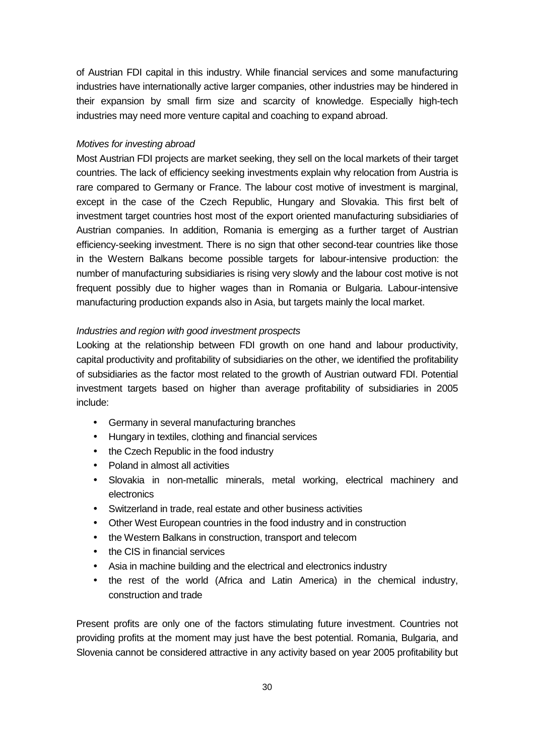of Austrian FDI capital in this industry. While financial services and some manufacturing industries have internationally active larger companies, other industries may be hindered in their expansion by small firm size and scarcity of knowledge. Especially high-tech industries may need more venture capital and coaching to expand abroad.

### Motives for investing abroad

Most Austrian FDI projects are market seeking, they sell on the local markets of their target countries. The lack of efficiency seeking investments explain why relocation from Austria is rare compared to Germany or France. The labour cost motive of investment is marginal, except in the case of the Czech Republic, Hungary and Slovakia. This first belt of investment target countries host most of the export oriented manufacturing subsidiaries of Austrian companies. In addition, Romania is emerging as a further target of Austrian efficiency-seeking investment. There is no sign that other second-tear countries like those in the Western Balkans become possible targets for labour-intensive production: the number of manufacturing subsidiaries is rising very slowly and the labour cost motive is not frequent possibly due to higher wages than in Romania or Bulgaria. Labour-intensive manufacturing production expands also in Asia, but targets mainly the local market.

### Industries and region with good investment prospects

Looking at the relationship between FDI growth on one hand and labour productivity, capital productivity and profitability of subsidiaries on the other, we identified the profitability of subsidiaries as the factor most related to the growth of Austrian outward FDI. Potential investment targets based on higher than average profitability of subsidiaries in 2005 include:

- Germany in several manufacturing branches
- Hungary in textiles, clothing and financial services
- the Czech Republic in the food industry
- Poland in almost all activities
- Slovakia in non-metallic minerals, metal working, electrical machinery and electronics
- Switzerland in trade, real estate and other business activities
- Other West European countries in the food industry and in construction
- the Western Balkans in construction, transport and telecom
- the CIS in financial services
- Asia in machine building and the electrical and electronics industry
- the rest of the world (Africa and Latin America) in the chemical industry, construction and trade

Present profits are only one of the factors stimulating future investment. Countries not providing profits at the moment may just have the best potential. Romania, Bulgaria, and Slovenia cannot be considered attractive in any activity based on year 2005 profitability but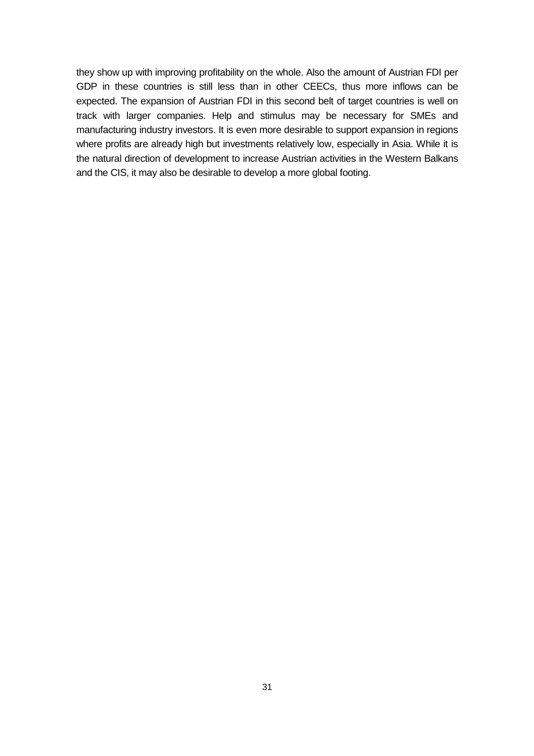they show up with improving profitability on the whole. Also the amount of Austrian FDI per GDP in these countries is still less than in other CEECs, thus more inflows can be expected. The expansion of Austrian FDI in this second belt of target countries is well on track with larger companies. Help and stimulus may be necessary for SMEs and manufacturing industry investors. It is even more desirable to support expansion in regions where profits are already high but investments relatively low, especially in Asia. While it is the natural direction of development to increase Austrian activities in the Western Balkans and the CIS, it may also be desirable to develop a more global footing.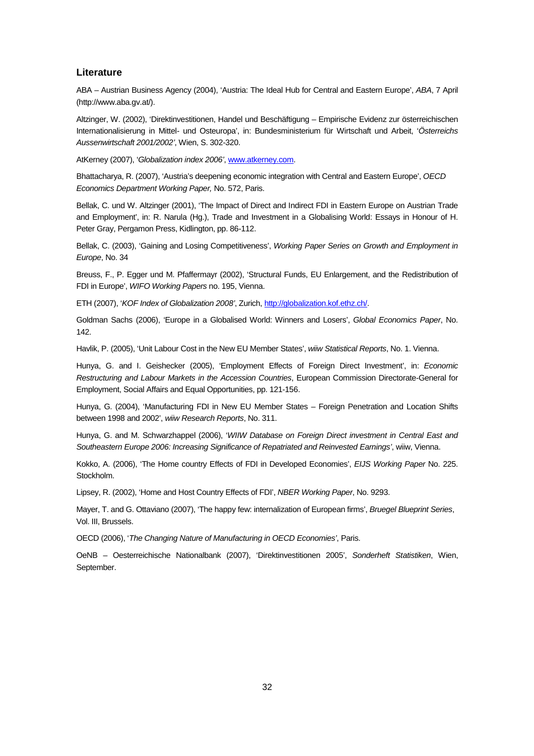### **Literature**

ABA – Austrian Business Agency (2004), 'Austria: The Ideal Hub for Central and Eastern Europe', ABA, 7 April (http://www.aba.gv.at/).

Altzinger, W. (2002), 'Direktinvestitionen, Handel und Beschäftigung – Empirische Evidenz zur österreichischen Internationalisierung in Mittel- und Osteuropa', in: Bundesministerium für Wirtschaft und Arbeit, 'Österreichs Aussenwirtschaft 2001/2002', Wien, S. 302-320.

AtKerney (2007), 'Globalization index 2006', www.atkerney.com.

Bhattacharya, R. (2007), 'Austria's deepening economic integration with Central and Eastern Europe', OECD Economics Department Working Paper, No. 572, Paris.

Bellak, C. und W. Altzinger (2001), 'The Impact of Direct and Indirect FDI in Eastern Europe on Austrian Trade and Employment', in: R. Narula (Hg.), Trade and Investment in a Globalising World: Essays in Honour of H. Peter Gray, Pergamon Press, Kidlington, pp. 86-112.

Bellak, C. (2003), 'Gaining and Losing Competitiveness', Working Paper Series on Growth and Employment in Europe, No. 34

Breuss, F., P. Egger und M. Pfaffermayr (2002), 'Structural Funds, EU Enlargement, and the Redistribution of FDI in Europe', WIFO Working Papers no. 195, Vienna.

ETH (2007), 'KOF Index of Globalization 2008', Zurich, http://globalization.kof.ethz.ch/.

Goldman Sachs (2006), 'Europe in a Globalised World: Winners and Losers', Global Economics Paper, No. 142.

Havlik, P. (2005), 'Unit Labour Cost in the New EU Member States', wiiw Statistical Reports, No. 1. Vienna.

Hunya, G. and I. Geishecker (2005), 'Employment Effects of Foreign Direct Investment', in: Economic Restructuring and Labour Markets in the Accession Countries, European Commission Directorate-General for Employment, Social Affairs and Equal Opportunities, pp. 121-156.

Hunya, G. (2004), 'Manufacturing FDI in New EU Member States – Foreign Penetration and Location Shifts between 1998 and 2002', wiiw Research Reports, No. 311.

Hunya, G. and M. Schwarzhappel (2006), 'WIIW Database on Foreign Direct investment in Central East and Southeastern Europe 2006: Increasing Significance of Repatriated and Reinvested Earnings', wiiw, Vienna.

Kokko, A. (2006), 'The Home country Effects of FDI in Developed Economies', EIJS Working Paper No. 225. Stockholm.

Lipsey, R. (2002), 'Home and Host Country Effects of FDI', NBER Working Paper, No. 9293.

Mayer, T. and G. Ottaviano (2007), 'The happy few: internalization of European firms', Bruegel Blueprint Series, Vol. III, Brussels.

OECD (2006), 'The Changing Nature of Manufacturing in OECD Economies', Paris.

OeNB – Oesterreichische Nationalbank (2007), 'Direktinvestitionen 2005', Sonderheft Statistiken, Wien, September.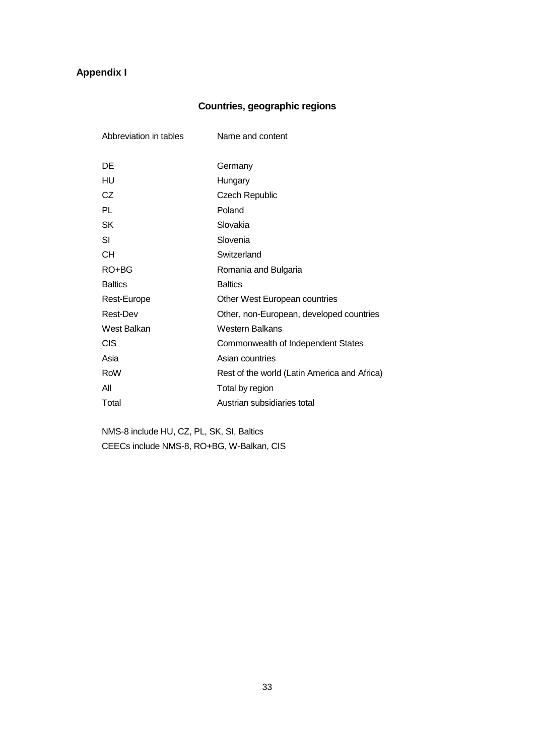# **Appendix I**

# **Countries, geographic regions**

| Abbreviation in tables | Name and content                             |
|------------------------|----------------------------------------------|
|                        |                                              |
| DE                     | Germany                                      |
| HU                     | Hungary                                      |
| CZ                     | <b>Czech Republic</b>                        |
| PL                     | Poland                                       |
| <b>SK</b>              | Slovakia                                     |
| SI                     | Slovenia                                     |
| CН                     | Switzerland                                  |
| RO+BG                  | Romania and Bulgaria                         |
| <b>Baltics</b>         | <b>Baltics</b>                               |
| Rest-Europe            | Other West European countries                |
| <b>Rest-Dev</b>        | Other, non-European, developed countries     |
| West Balkan            | <b>Western Balkans</b>                       |
| <b>CIS</b>             | Commonwealth of Independent States           |
| Asia                   | Asian countries                              |
| RoW                    | Rest of the world (Latin America and Africa) |
| All                    | Total by region                              |
| Total                  | Austrian subsidiaries total                  |

 NMS-8 include HU, CZ, PL, SK, SI, Baltics CEECs include NMS-8, RO+BG, W-Balkan, CIS